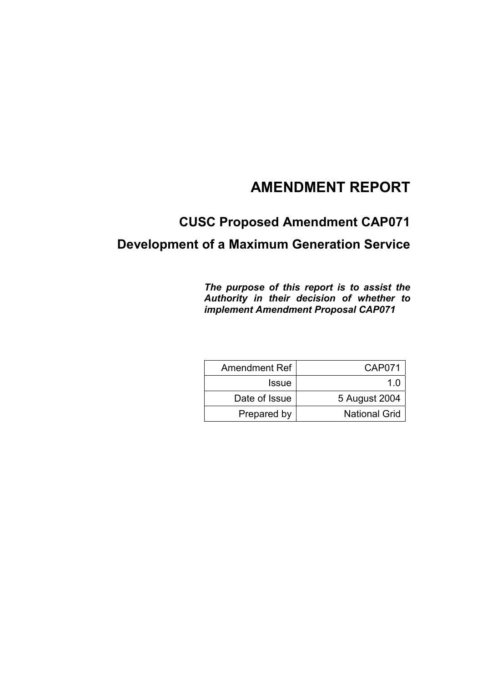## **AMENDMENT REPORT**

# **CUSC Proposed Amendment CAP071**

## **Development of a Maximum Generation Service**

*The purpose of this report is to assist the Authority in their decision of whether to implement Amendment Proposal CAP071*

| <b>Amendment Ref</b> | <b>CAP071</b>        |
|----------------------|----------------------|
| <b>Issue</b>         | 1 በ                  |
| Date of Issue        | 5 August 2004        |
| Prepared by          | <b>National Grid</b> |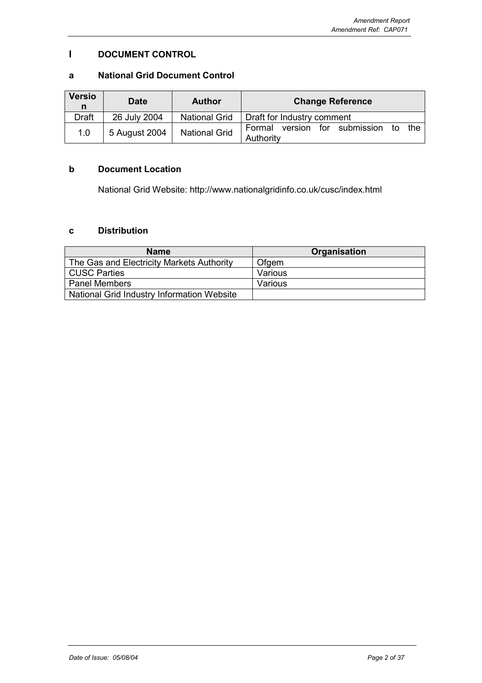## **I DOCUMENT CONTROL**

### **a National Grid Document Control**

| <b>Versio</b><br>n | <b>Date</b>   | <b>Author</b>        | <b>Change Reference</b>                                    |
|--------------------|---------------|----------------------|------------------------------------------------------------|
| <b>Draft</b>       | 26 July 2004  | <b>National Grid</b> | Draft for Industry comment                                 |
| 1.0                | 5 August 2004 | <b>National Grid</b> | version for submission<br>Formal<br>to<br>the<br>Authority |

## **b Document Location**

National Grid Website: http://www.nationalgridinfo.co.uk/cusc/index.html

## **c Distribution**

| <b>Name</b>                                | <b>Organisation</b> |
|--------------------------------------------|---------------------|
| The Gas and Electricity Markets Authority  | Ofgem               |
| <b>CUSC Parties</b>                        | Various             |
| <b>Panel Members</b>                       | Various             |
| National Grid Industry Information Website |                     |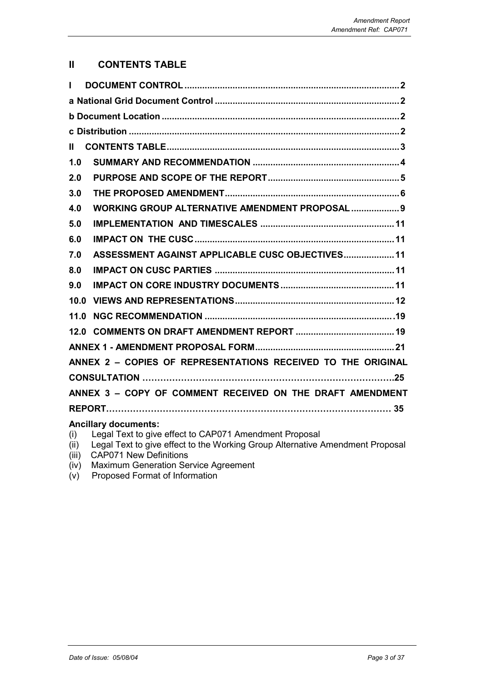## **II CONTENTS TABLE**

| $\mathbf{L}$  |                                                                                                                                                                                                                                                                                                                                                                                             |
|---------------|---------------------------------------------------------------------------------------------------------------------------------------------------------------------------------------------------------------------------------------------------------------------------------------------------------------------------------------------------------------------------------------------|
|               |                                                                                                                                                                                                                                                                                                                                                                                             |
|               |                                                                                                                                                                                                                                                                                                                                                                                             |
|               |                                                                                                                                                                                                                                                                                                                                                                                             |
| $\mathbf{II}$ |                                                                                                                                                                                                                                                                                                                                                                                             |
| 1.0           |                                                                                                                                                                                                                                                                                                                                                                                             |
| 2.0           |                                                                                                                                                                                                                                                                                                                                                                                             |
| 3.0           |                                                                                                                                                                                                                                                                                                                                                                                             |
| 4.0           | WORKING GROUP ALTERNATIVE AMENDMENT PROPOSAL  9                                                                                                                                                                                                                                                                                                                                             |
| 5.0           |                                                                                                                                                                                                                                                                                                                                                                                             |
| 6.0           |                                                                                                                                                                                                                                                                                                                                                                                             |
| 7.0           | ASSESSMENT AGAINST APPLICABLE CUSC OBJECTIVES 11                                                                                                                                                                                                                                                                                                                                            |
| 8.0           |                                                                                                                                                                                                                                                                                                                                                                                             |
| 9.0           |                                                                                                                                                                                                                                                                                                                                                                                             |
|               |                                                                                                                                                                                                                                                                                                                                                                                             |
|               |                                                                                                                                                                                                                                                                                                                                                                                             |
|               |                                                                                                                                                                                                                                                                                                                                                                                             |
|               |                                                                                                                                                                                                                                                                                                                                                                                             |
|               | ANNEX 2 - COPIES OF REPRESENTATIONS RECEIVED TO THE ORIGINAL                                                                                                                                                                                                                                                                                                                                |
|               |                                                                                                                                                                                                                                                                                                                                                                                             |
|               | ANNEX 3 - COPY OF COMMENT RECEIVED ON THE DRAFT AMENDMENT                                                                                                                                                                                                                                                                                                                                   |
|               |                                                                                                                                                                                                                                                                                                                                                                                             |
|               | <b>Ancillary documents:</b><br>in effect to CADO74 Amendment Dresseel<br>$\sqrt{2}$ $\sqrt{2}$ $\sqrt{2}$ $\sqrt{2}$ $\sqrt{2}$ $\sqrt{2}$ $\sqrt{2}$ $\sqrt{2}$ $\sqrt{2}$ $\sqrt{2}$ $\sqrt{2}$ $\sqrt{2}$ $\sqrt{2}$ $\sqrt{2}$ $\sqrt{2}$ $\sqrt{2}$ $\sqrt{2}$ $\sqrt{2}$ $\sqrt{2}$ $\sqrt{2}$ $\sqrt{2}$ $\sqrt{2}$ $\sqrt{2}$ $\sqrt{2}$ $\sqrt{2}$ $\sqrt{2}$ $\sqrt{2}$ $\sqrt{2$ |

- (i) Legal Text to give effect to CAP071 Amendment Proposal
- (ii) Legal Text to give effect to the Working Group Alternative Amendment Proposal
- (iii) CAP071 New Definitions
- (iv) Maximum Generation Service Agreement
- (v) Proposed Format of Information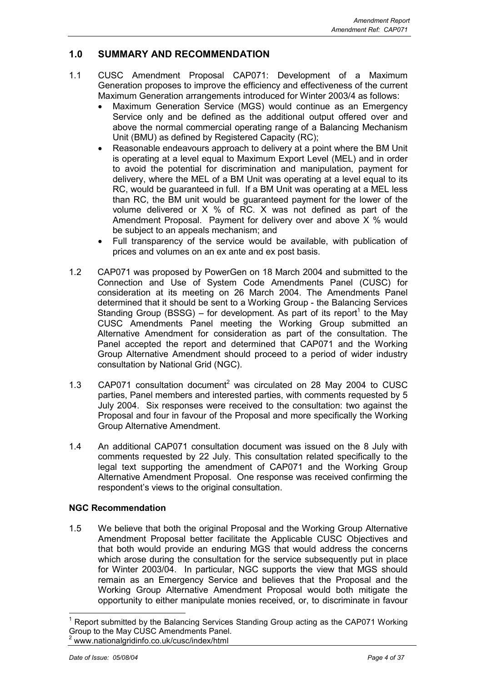## **1.0 SUMMARY AND RECOMMENDATION**

- 1.1 CUSC Amendment Proposal CAP071: Development of a Maximum Generation proposes to improve the efficiency and effectiveness of the current Maximum Generation arrangements introduced for Winter 2003/4 as follows:
	- Maximum Generation Service (MGS) would continue as an Emergency Service only and be defined as the additional output offered over and above the normal commercial operating range of a Balancing Mechanism Unit (BMU) as defined by Registered Capacity (RC);
	- Reasonable endeavours approach to delivery at a point where the BM Unit is operating at a level equal to Maximum Export Level (MEL) and in order to avoid the potential for discrimination and manipulation, payment for delivery, where the MEL of a BM Unit was operating at a level equal to its RC, would be guaranteed in full. If a BM Unit was operating at a MEL less than RC, the BM unit would be guaranteed payment for the lower of the volume delivered or X % of RC. X was not defined as part of the Amendment Proposal. Payment for delivery over and above X % would be subject to an appeals mechanism; and
	- Full transparency of the service would be available, with publication of prices and volumes on an ex ante and ex post basis.
- 1.2 CAP071 was proposed by PowerGen on 18 March 2004 and submitted to the Connection and Use of System Code Amendments Panel (CUSC) for consideration at its meeting on 26 March 2004. The Amendments Panel determined that it should be sent to a Working Group - the Balancing Services Standing Group (BSSG) – for development. As part of its report<sup>1</sup> to the May CUSC Amendments Panel meeting the Working Group submitted an Alternative Amendment for consideration as part of the consultation. The Panel accepted the report and determined that CAP071 and the Working Group Alternative Amendment should proceed to a period of wider industry consultation by National Grid (NGC).
- 1.3 CAP071 consultation document<sup>2</sup> was circulated on 28 May 2004 to CUSC parties, Panel members and interested parties, with comments requested by 5 July 2004. Six responses were received to the consultation: two against the Proposal and four in favour of the Proposal and more specifically the Working Group Alternative Amendment.
- 1.4 An additional CAP071 consultation document was issued on the 8 July with comments requested by 22 July. This consultation related specifically to the legal text supporting the amendment of CAP071 and the Working Group Alternative Amendment Proposal. One response was received confirming the respondent's views to the original consultation.

## **NGC Recommendation**

1.5 We believe that both the original Proposal and the Working Group Alternative Amendment Proposal better facilitate the Applicable CUSC Objectives and that both would provide an enduring MGS that would address the concerns which arose during the consultation for the service subsequently put in place for Winter 2003/04. In particular, NGC supports the view that MGS should remain as an Emergency Service and believes that the Proposal and the Working Group Alternative Amendment Proposal would both mitigate the opportunity to either manipulate monies received, or, to discriminate in favour

 1 Report submitted by the Balancing Services Standing Group acting as the CAP071 Working Group to the May CUSC Amendments Panel. 2 www.nationalgridinfo.co.uk/cusc/index/html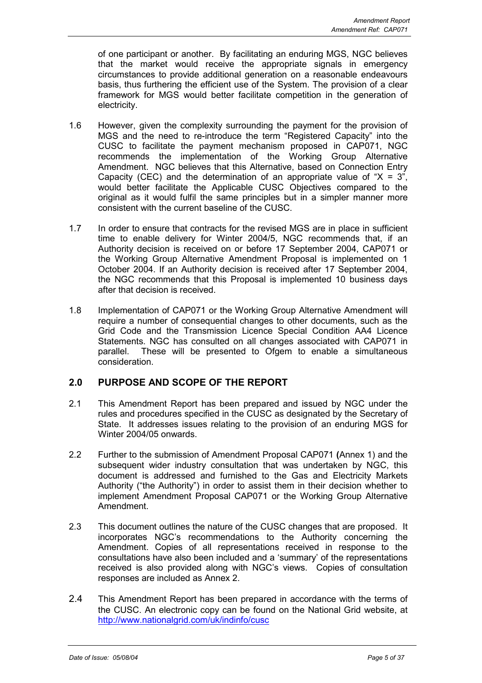of one participant or another. By facilitating an enduring MGS, NGC believes that the market would receive the appropriate signals in emergency circumstances to provide additional generation on a reasonable endeavours basis, thus furthering the efficient use of the System. The provision of a clear framework for MGS would better facilitate competition in the generation of electricity.

- 1.6 However, given the complexity surrounding the payment for the provision of MGS and the need to re-introduce the term "Registered Capacity" into the CUSC to facilitate the payment mechanism proposed in CAP071, NGC recommends the implementation of the Working Group Alternative Amendment. NGC believes that this Alternative, based on Connection Entry Capacity (CEC) and the determination of an appropriate value of " $X = 3$ ", would better facilitate the Applicable CUSC Objectives compared to the original as it would fulfil the same principles but in a simpler manner more consistent with the current baseline of the CUSC.
- 1.7 In order to ensure that contracts for the revised MGS are in place in sufficient time to enable delivery for Winter 2004/5, NGC recommends that, if an Authority decision is received on or before 17 September 2004, CAP071 or the Working Group Alternative Amendment Proposal is implemented on 1 October 2004. If an Authority decision is received after 17 September 2004, the NGC recommends that this Proposal is implemented 10 business days after that decision is received.
- 1.8 Implementation of CAP071 or the Working Group Alternative Amendment will require a number of consequential changes to other documents, such as the Grid Code and the Transmission Licence Special Condition AA4 Licence Statements. NGC has consulted on all changes associated with CAP071 in parallel. These will be presented to Ofgem to enable a simultaneous consideration.

## **2.0 PURPOSE AND SCOPE OF THE REPORT**

- 2.1 This Amendment Report has been prepared and issued by NGC under the rules and procedures specified in the CUSC as designated by the Secretary of State. It addresses issues relating to the provision of an enduring MGS for Winter 2004/05 onwards.
- 2.2 Further to the submission of Amendment Proposal CAP071 **(**Annex 1) and the subsequent wider industry consultation that was undertaken by NGC, this document is addressed and furnished to the Gas and Electricity Markets Authority ("the Authority") in order to assist them in their decision whether to implement Amendment Proposal CAP071 or the Working Group Alternative Amendment.
- 2.3 This document outlines the nature of the CUSC changes that are proposed. It incorporates NGC's recommendations to the Authority concerning the Amendment. Copies of all representations received in response to the consultations have also been included and a 'summary' of the representations received is also provided along with NGC's views. Copies of consultation responses are included as Annex 2.
- 2.4 This Amendment Report has been prepared in accordance with the terms of the CUSC. An electronic copy can be found on the National Grid website, at http://www.nationalgrid.com/uk/indinfo/cusc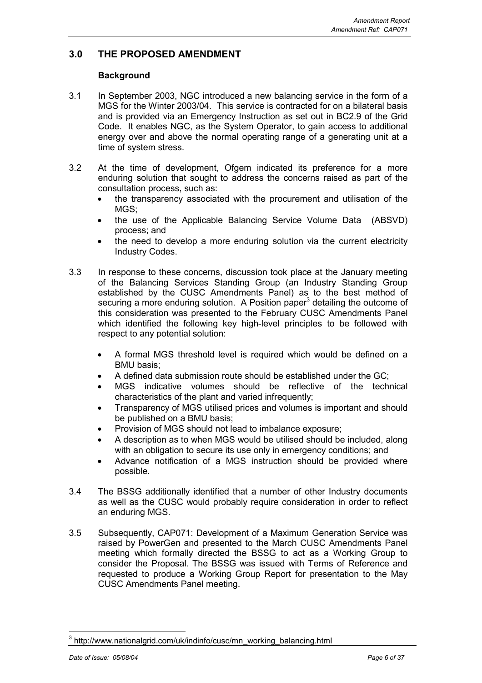## **3.0 THE PROPOSED AMENDMENT**

## **Background**

- 3.1 In September 2003, NGC introduced a new balancing service in the form of a MGS for the Winter 2003/04. This service is contracted for on a bilateral basis and is provided via an Emergency Instruction as set out in BC2.9 of the Grid Code. It enables NGC, as the System Operator, to gain access to additional energy over and above the normal operating range of a generating unit at a time of system stress.
- 3.2 At the time of development, Ofgem indicated its preference for a more enduring solution that sought to address the concerns raised as part of the consultation process, such as:
	- the transparency associated with the procurement and utilisation of the MGS;
	- the use of the Applicable Balancing Service Volume Data (ABSVD) process; and
	- the need to develop a more enduring solution via the current electricity Industry Codes.
- 3.3 In response to these concerns, discussion took place at the January meeting of the Balancing Services Standing Group (an Industry Standing Group established by the CUSC Amendments Panel) as to the best method of securing a more enduring solution. A Position paper<sup>3</sup> detailing the outcome of this consideration was presented to the February CUSC Amendments Panel which identified the following key high-level principles to be followed with respect to any potential solution:
	- A formal MGS threshold level is required which would be defined on a BMU basis;
	- A defined data submission route should be established under the GC;
	- MGS indicative volumes should be reflective of the technical characteristics of the plant and varied infrequently;
	- Transparency of MGS utilised prices and volumes is important and should be published on a BMU basis;
	- Provision of MGS should not lead to imbalance exposure;
	- A description as to when MGS would be utilised should be included, along with an obligation to secure its use only in emergency conditions; and
	- Advance notification of a MGS instruction should be provided where possible.
- 3.4 The BSSG additionally identified that a number of other Industry documents as well as the CUSC would probably require consideration in order to reflect an enduring MGS.
- 3.5 Subsequently, CAP071: Development of a Maximum Generation Service was raised by PowerGen and presented to the March CUSC Amendments Panel meeting which formally directed the BSSG to act as a Working Group to consider the Proposal. The BSSG was issued with Terms of Reference and requested to produce a Working Group Report for presentation to the May CUSC Amendments Panel meeting.

j <sup>3</sup> http://www.nationalgrid.com/uk/indinfo/cusc/mn\_working\_balancing.html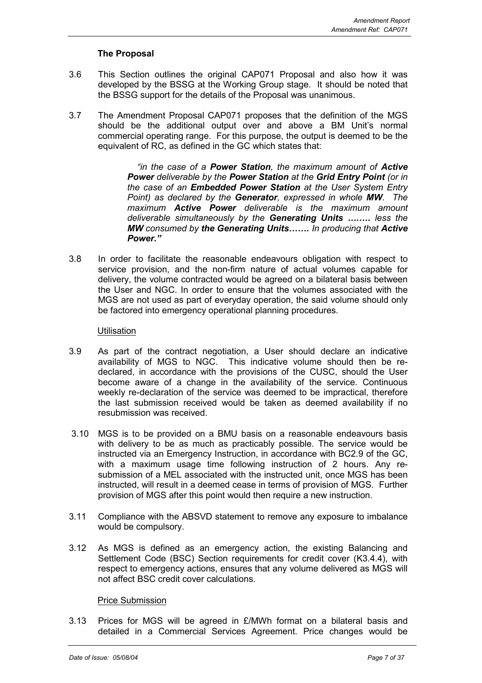## **The Proposal**

- 3.6 This Section outlines the original CAP071 Proposal and also how it was developed by the BSSG at the Working Group stage. It should be noted that the BSSG support for the details of the Proposal was unanimous.
- 3.7 The Amendment Proposal CAP071 proposes that the definition of the MGS should be the additional output over and above a BM Unit's normal commercial operating range. For this purpose, the output is deemed to be the equivalent of RC, as defined in the GC which states that:

 *"in the case of a Power Station, the maximum amount of Active Power deliverable by the Power Station at the Grid Entry Point (or in the case of an Embedded Power Station at the User System Entry Point) as declared by the Generator, expressed in whole MW. The maximum Active Power deliverable is the maximum amount deliverable simultaneously by the Generating Units ….…. less the MW consumed by the Generating Units……. In producing that Active Power."*

3.8 In order to facilitate the reasonable endeavours obligation with respect to service provision, and the non-firm nature of actual volumes capable for delivery, the volume contracted would be agreed on a bilateral basis between the User and NGC. In order to ensure that the volumes associated with the MGS are not used as part of everyday operation, the said volume should only be factored into emergency operational planning procedures*.*

## **Utilisation**

- 3.9 As part of the contract negotiation, a User should declare an indicative availability of MGS to NGC. This indicative volume should then be redeclared, in accordance with the provisions of the CUSC, should the User become aware of a change in the availability of the service. Continuous weekly re-declaration of the service was deemed to be impractical, therefore the last submission received would be taken as deemed availability if no resubmission was received.
- 3.10 MGS is to be provided on a BMU basis on a reasonable endeavours basis with delivery to be as much as practicably possible. The service would be instructed via an Emergency Instruction, in accordance with BC2.9 of the GC, with a maximum usage time following instruction of 2 hours. Any resubmission of a MEL associated with the instructed unit, once MGS has been instructed, will result in a deemed cease in terms of provision of MGS. Further provision of MGS after this point would then require a new instruction.
- 3.11 Compliance with the ABSVD statement to remove any exposure to imbalance would be compulsory.
- 3.12 As MGS is defined as an emergency action, the existing Balancing and Settlement Code (BSC) Section requirements for credit cover (K3.4.4), with respect to emergency actions, ensures that any volume delivered as MGS will not affect BSC credit cover calculations.

## Price Submission

3.13 Prices for MGS will be agreed in £/MWh format on a bilateral basis and detailed in a Commercial Services Agreement. Price changes would be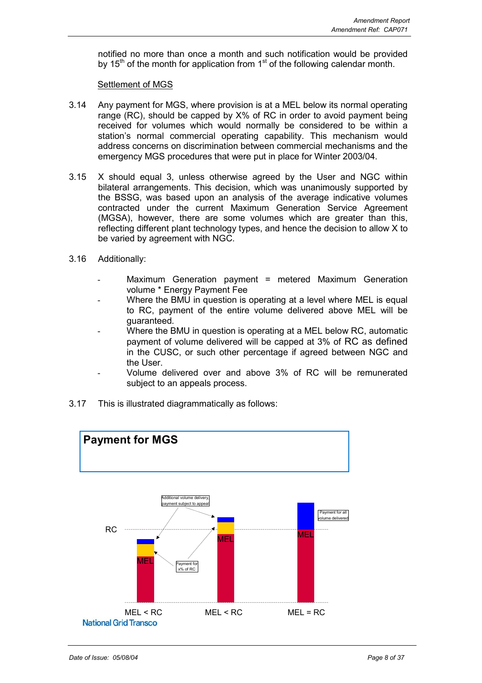notified no more than once a month and such notification would be provided by 15<sup>th</sup> of the month for application from 1<sup>st</sup> of the following calendar month.

### Settlement of MGS

- 3.14 Any payment for MGS, where provision is at a MEL below its normal operating range (RC), should be capped by X% of RC in order to avoid payment being received for volumes which would normally be considered to be within a station's normal commercial operating capability. This mechanism would address concerns on discrimination between commercial mechanisms and the emergency MGS procedures that were put in place for Winter 2003/04.
- 3.15 X should equal 3, unless otherwise agreed by the User and NGC within bilateral arrangements. This decision, which was unanimously supported by the BSSG, was based upon an analysis of the average indicative volumes contracted under the current Maximum Generation Service Agreement (MGSA), however, there are some volumes which are greater than this, reflecting different plant technology types, and hence the decision to allow X to be varied by agreement with NGC.
- 3.16 Additionally:
	- Maximum Generation payment = metered Maximum Generation volume \* Energy Payment Fee
	- Where the BMU in question is operating at a level where MEL is equal to RC, payment of the entire volume delivered above MEL will be guaranteed.
	- Where the BMU in question is operating at a MEL below RC, automatic payment of volume delivered will be capped at 3% of RC as defined in the CUSC, or such other percentage if agreed between NGC and the User.
	- Volume delivered over and above 3% of RC will be remunerated subject to an appeals process.
- 3.17 This is illustrated diagrammatically as follows:

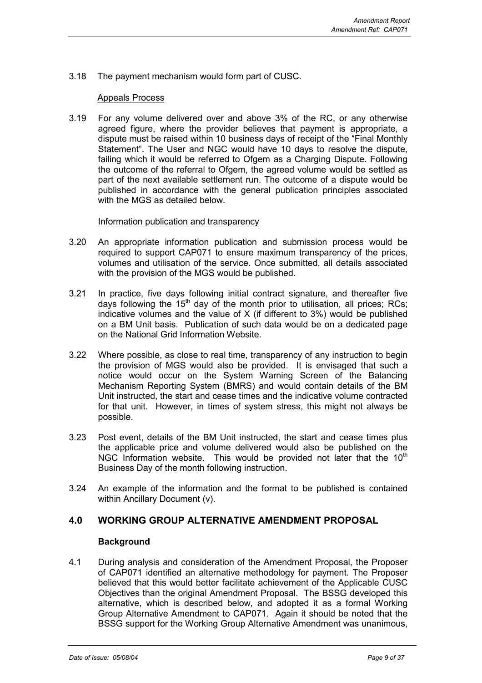3.18 The payment mechanism would form part of CUSC.

## Appeals Process

3.19 For any volume delivered over and above 3% of the RC, or any otherwise agreed figure, where the provider believes that payment is appropriate, a dispute must be raised within 10 business days of receipt of the "Final Monthly Statement". The User and NGC would have 10 days to resolve the dispute, failing which it would be referred to Ofgem as a Charging Dispute. Following the outcome of the referral to Ofgem, the agreed volume would be settled as part of the next available settlement run. The outcome of a dispute would be published in accordance with the general publication principles associated with the MGS as detailed below.

## Information publication and transparency

- 3.20 An appropriate information publication and submission process would be required to support CAP071 to ensure maximum transparency of the prices, volumes and utilisation of the service. Once submitted, all details associated with the provision of the MGS would be published.
- 3.21 In practice, five days following initial contract signature, and thereafter five days following the  $15<sup>th</sup>$  day of the month prior to utilisation, all prices; RCs; indicative volumes and the value of X (if different to 3%) would be published on a BM Unit basis. Publication of such data would be on a dedicated page on the National Grid Information Website.
- 3.22 Where possible, as close to real time, transparency of any instruction to begin the provision of MGS would also be provided. It is envisaged that such a notice would occur on the System Warning Screen of the Balancing Mechanism Reporting System (BMRS) and would contain details of the BM Unit instructed, the start and cease times and the indicative volume contracted for that unit. However, in times of system stress, this might not always be possible.
- 3.23 Post event, details of the BM Unit instructed, the start and cease times plus the applicable price and volume delivered would also be published on the NGC Information website. This would be provided not later that the  $10<sup>th</sup>$ Business Day of the month following instruction.
- 3.24 An example of the information and the format to be published is contained within Ancillary Document (v).

## **4.0 WORKING GROUP ALTERNATIVE AMENDMENT PROPOSAL**

#### **Background**

4.1 During analysis and consideration of the Amendment Proposal, the Proposer of CAP071 identified an alternative methodology for payment. The Proposer believed that this would better facilitate achievement of the Applicable CUSC Objectives than the original Amendment Proposal. The BSSG developed this alternative, which is described below, and adopted it as a formal Working Group Alternative Amendment to CAP071. Again it should be noted that the BSSG support for the Working Group Alternative Amendment was unanimous,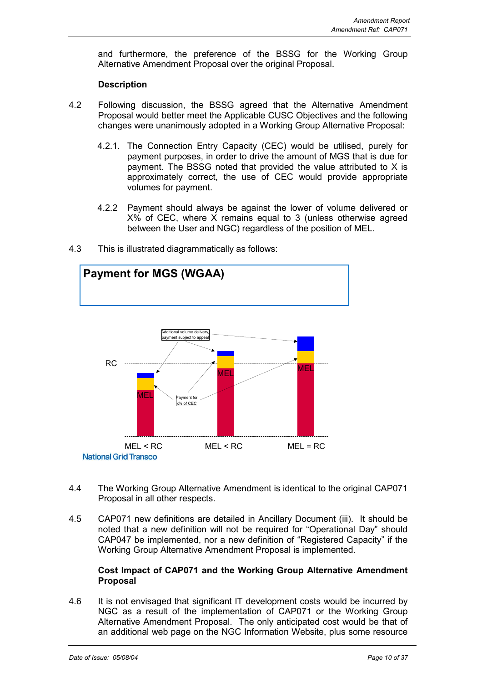and furthermore, the preference of the BSSG for the Working Group Alternative Amendment Proposal over the original Proposal.

## **Description**

- 4.2 Following discussion, the BSSG agreed that the Alternative Amendment Proposal would better meet the Applicable CUSC Objectives and the following changes were unanimously adopted in a Working Group Alternative Proposal:
	- 4.2.1. The Connection Entry Capacity (CEC) would be utilised, purely for payment purposes, in order to drive the amount of MGS that is due for payment. The BSSG noted that provided the value attributed to X is approximately correct, the use of CEC would provide appropriate volumes for payment.
	- 4.2.2 Payment should always be against the lower of volume delivered or  $X\%$  of CEC, where X remains equal to 3 (unless otherwise agreed between the User and NGC) regardless of the position of MEL.



4.3 This is illustrated diagrammatically as follows:

- 4.4 The Working Group Alternative Amendment is identical to the original CAP071 Proposal in all other respects.
- 4.5 CAP071 new definitions are detailed in Ancillary Document (iii). It should be noted that a new definition will not be required for "Operational Day" should CAP047 be implemented, nor a new definition of "Registered Capacity" if the Working Group Alternative Amendment Proposal is implemented.

#### **Cost Impact of CAP071 and the Working Group Alternative Amendment Proposal**

4.6 It is not envisaged that significant IT development costs would be incurred by NGC as a result of the implementation of CAP071 or the Working Group Alternative Amendment Proposal. The only anticipated cost would be that of an additional web page on the NGC Information Website, plus some resource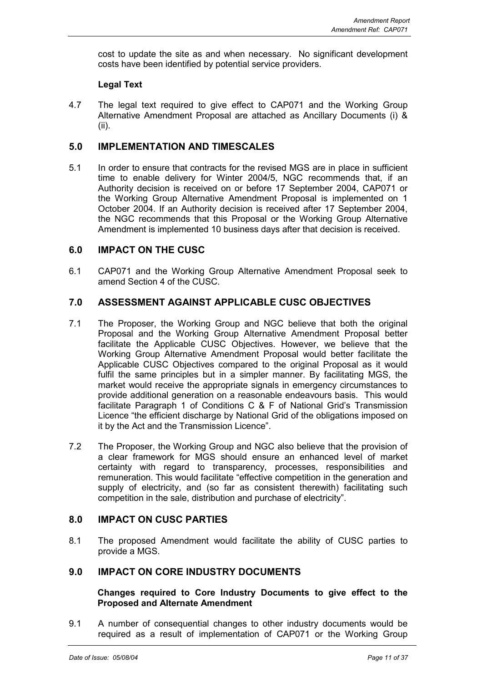cost to update the site as and when necessary. No significant development costs have been identified by potential service providers.

## **Legal Text**

4.7 The legal text required to give effect to CAP071 and the Working Group Alternative Amendment Proposal are attached as Ancillary Documents (i) & (ii).

## **5.0 IMPLEMENTATION AND TIMESCALES**

5.1 In order to ensure that contracts for the revised MGS are in place in sufficient time to enable delivery for Winter 2004/5, NGC recommends that, if an Authority decision is received on or before 17 September 2004, CAP071 or the Working Group Alternative Amendment Proposal is implemented on 1 October 2004. If an Authority decision is received after 17 September 2004, the NGC recommends that this Proposal or the Working Group Alternative Amendment is implemented 10 business days after that decision is received.

## **6.0 IMPACT ON THE CUSC**

6.1 CAP071 and the Working Group Alternative Amendment Proposal seek to amend Section 4 of the CUSC.

## **7.0 ASSESSMENT AGAINST APPLICABLE CUSC OBJECTIVES**

- 7.1 The Proposer, the Working Group and NGC believe that both the original Proposal and the Working Group Alternative Amendment Proposal better facilitate the Applicable CUSC Objectives. However, we believe that the Working Group Alternative Amendment Proposal would better facilitate the Applicable CUSC Objectives compared to the original Proposal as it would fulfil the same principles but in a simpler manner. By facilitating MGS, the market would receive the appropriate signals in emergency circumstances to provide additional generation on a reasonable endeavours basis. This would facilitate Paragraph 1 of Conditions C & F of National Grid's Transmission Licence "the efficient discharge by National Grid of the obligations imposed on it by the Act and the Transmission Licence".
- 7.2 The Proposer, the Working Group and NGC also believe that the provision of a clear framework for MGS should ensure an enhanced level of market certainty with regard to transparency, processes, responsibilities and remuneration. This would facilitate "effective competition in the generation and supply of electricity, and (so far as consistent therewith) facilitating such competition in the sale, distribution and purchase of electricity".

## **8.0 IMPACT ON CUSC PARTIES**

8.1 The proposed Amendment would facilitate the ability of CUSC parties to provide a MGS.

## **9.0 IMPACT ON CORE INDUSTRY DOCUMENTS**

#### **Changes required to Core Industry Documents to give effect to the Proposed and Alternate Amendment**

9.1 A number of consequential changes to other industry documents would be required as a result of implementation of CAP071 or the Working Group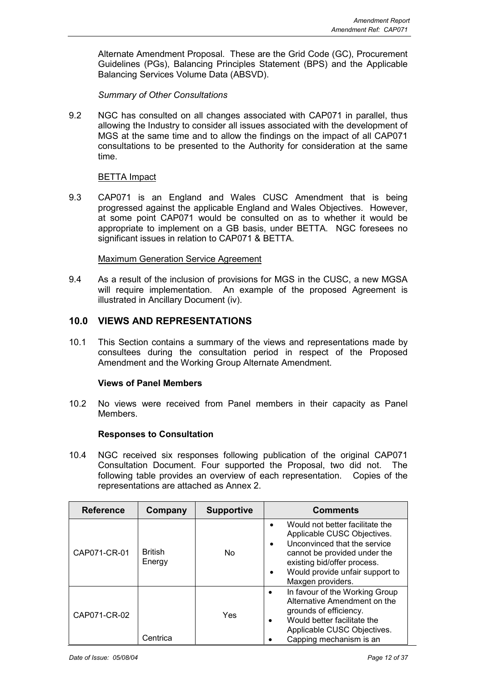Alternate Amendment Proposal. These are the Grid Code (GC), Procurement Guidelines (PGs), Balancing Principles Statement (BPS) and the Applicable Balancing Services Volume Data (ABSVD).

*Summary of Other Consultations*

9.2 NGC has consulted on all changes associated with CAP071 in parallel, thus allowing the Industry to consider all issues associated with the development of MGS at the same time and to allow the findings on the impact of all CAP071 consultations to be presented to the Authority for consideration at the same time.

#### BETTA Impact

9.3 CAP071 is an England and Wales CUSC Amendment that is being progressed against the applicable England and Wales Objectives. However, at some point CAP071 would be consulted on as to whether it would be appropriate to implement on a GB basis, under BETTA. NGC foresees no significant issues in relation to CAP071 & BETTA.

#### Maximum Generation Service Agreement

9.4 As a result of the inclusion of provisions for MGS in the CUSC, a new MGSA will require implementation. An example of the proposed Agreement is illustrated in Ancillary Document (iv).

## **10.0 VIEWS AND REPRESENTATIONS**

10.1 This Section contains a summary of the views and representations made by consultees during the consultation period in respect of the Proposed Amendment and the Working Group Alternate Amendment.

## **Views of Panel Members**

10.2 No views were received from Panel members in their capacity as Panel Members.

## **Responses to Consultation**

10.4 NGC received six responses following publication of the original CAP071 Consultation Document. Four supported the Proposal, two did not. The following table provides an overview of each representation. Copies of the representations are attached as Annex 2.

| <b>Reference</b> | Company                  | <b>Supportive</b> | <b>Comments</b>                                                                                                                                                                                                                    |
|------------------|--------------------------|-------------------|------------------------------------------------------------------------------------------------------------------------------------------------------------------------------------------------------------------------------------|
| CAP071-CR-01     | <b>British</b><br>Energy | No                | Would not better facilitate the<br>Applicable CUSC Objectives.<br>Unconvinced that the service<br>$\bullet$<br>cannot be provided under the<br>existing bid/offer process.<br>Would provide unfair support to<br>Maxgen providers. |
| CAP071-CR-02     | Centrica                 | Yes               | In favour of the Working Group<br>$\bullet$<br>Alternative Amendment on the<br>grounds of efficiency.<br>Would better facilitate the<br>٠<br>Applicable CUSC Objectives.<br>Capping mechanism is an                                |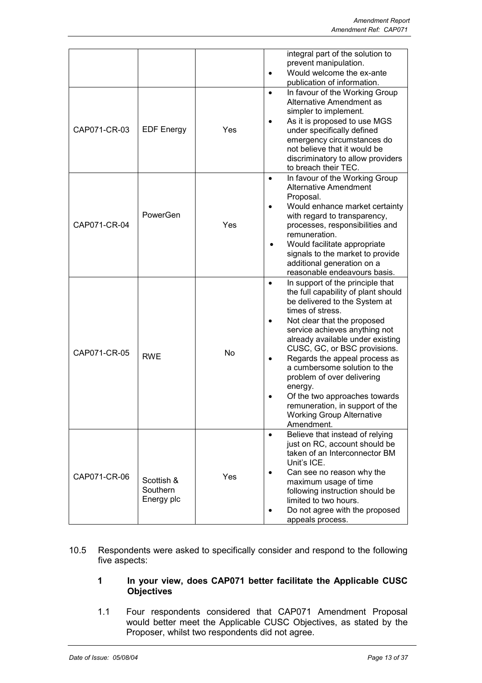|              |                                      |     | integral part of the solution to<br>prevent manipulation.<br>Would welcome the ex-ante<br>$\bullet$<br>publication of information.                                                                                                                                                                                                                                                                                                                                                                                         |
|--------------|--------------------------------------|-----|----------------------------------------------------------------------------------------------------------------------------------------------------------------------------------------------------------------------------------------------------------------------------------------------------------------------------------------------------------------------------------------------------------------------------------------------------------------------------------------------------------------------------|
| CAP071-CR-03 | <b>EDF Energy</b>                    | Yes | In favour of the Working Group<br>$\bullet$<br>Alternative Amendment as<br>simpler to implement.<br>As it is proposed to use MGS<br>under specifically defined<br>emergency circumstances do<br>not believe that it would be<br>discriminatory to allow providers<br>to breach their TEC.                                                                                                                                                                                                                                  |
| CAP071-CR-04 | PowerGen                             | Yes | In favour of the Working Group<br>$\bullet$<br><b>Alternative Amendment</b><br>Proposal.<br>Would enhance market certainty<br>$\bullet$<br>with regard to transparency,<br>processes, responsibilities and<br>remuneration.<br>Would facilitate appropriate<br>signals to the market to provide<br>additional generation on a<br>reasonable endeavours basis.                                                                                                                                                              |
| CAP071-CR-05 | <b>RWE</b>                           | No  | In support of the principle that<br>$\bullet$<br>the full capability of plant should<br>be delivered to the System at<br>times of stress.<br>Not clear that the proposed<br>service achieves anything not<br>already available under existing<br>CUSC, GC, or BSC provisions.<br>Regards the appeal process as<br>$\bullet$<br>a cumbersome solution to the<br>problem of over delivering<br>energy.<br>Of the two approaches towards<br>remuneration, in support of the<br><b>Working Group Alternative</b><br>Amendment. |
| CAP071-CR-06 | Scottish &<br>Southern<br>Energy plc | Yes | Believe that instead of relying<br>$\bullet$<br>just on RC, account should be<br>taken of an Interconnector BM<br>Unit's ICE.<br>Can see no reason why the<br>$\bullet$<br>maximum usage of time<br>following instruction should be<br>limited to two hours.<br>Do not agree with the proposed<br>appeals process.                                                                                                                                                                                                         |

10.5 Respondents were asked to specifically consider and respond to the following five aspects:

## **1 In your view, does CAP071 better facilitate the Applicable CUSC Objectives**

1.1 Four respondents considered that CAP071 Amendment Proposal would better meet the Applicable CUSC Objectives, as stated by the Proposer, whilst two respondents did not agree.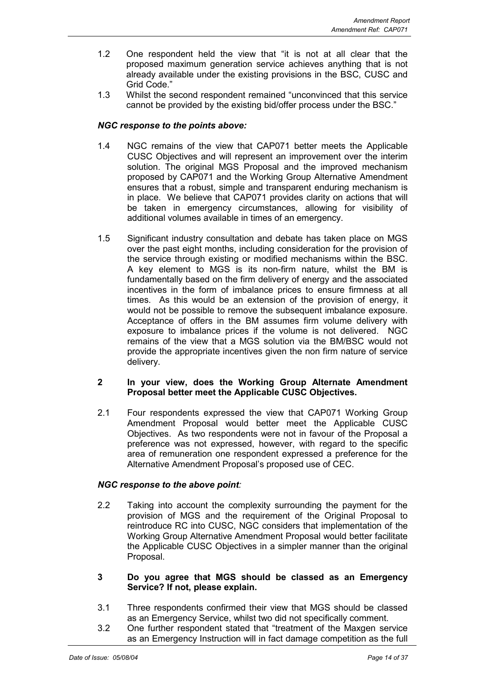- 1.2 One respondent held the view that "it is not at all clear that the proposed maximum generation service achieves anything that is not already available under the existing provisions in the BSC, CUSC and Grid Code."
- 1.3 Whilst the second respondent remained "unconvinced that this service cannot be provided by the existing bid/offer process under the BSC."

## *NGC response to the points above:*

- 1.4 NGC remains of the view that CAP071 better meets the Applicable CUSC Objectives and will represent an improvement over the interim solution. The original MGS Proposal and the improved mechanism proposed by CAP071 and the Working Group Alternative Amendment ensures that a robust, simple and transparent enduring mechanism is in place. We believe that CAP071 provides clarity on actions that will be taken in emergency circumstances, allowing for visibility of additional volumes available in times of an emergency.
- 1.5 Significant industry consultation and debate has taken place on MGS over the past eight months, including consideration for the provision of the service through existing or modified mechanisms within the BSC. A key element to MGS is its non-firm nature, whilst the BM is fundamentally based on the firm delivery of energy and the associated incentives in the form of imbalance prices to ensure firmness at all times. As this would be an extension of the provision of energy, it would not be possible to remove the subsequent imbalance exposure. Acceptance of offers in the BM assumes firm volume delivery with exposure to imbalance prices if the volume is not delivered. NGC remains of the view that a MGS solution via the BM/BSC would not provide the appropriate incentives given the non firm nature of service delivery.

#### **2 In your view, does the Working Group Alternate Amendment Proposal better meet the Applicable CUSC Objectives.**

2.1 Four respondents expressed the view that CAP071 Working Group Amendment Proposal would better meet the Applicable CUSC Objectives. As two respondents were not in favour of the Proposal a preference was not expressed, however, with regard to the specific area of remuneration one respondent expressed a preference for the Alternative Amendment Proposal's proposed use of CEC.

## *NGC response to the above point:*

- 2.2 Taking into account the complexity surrounding the payment for the provision of MGS and the requirement of the Original Proposal to reintroduce RC into CUSC, NGC considers that implementation of the Working Group Alternative Amendment Proposal would better facilitate the Applicable CUSC Objectives in a simpler manner than the original Proposal.
- **3 Do you agree that MGS should be classed as an Emergency Service? If not, please explain.**
- 3.1 Three respondents confirmed their view that MGS should be classed as an Emergency Service, whilst two did not specifically comment.
- 3.2 One further respondent stated that "treatment of the Maxgen service as an Emergency Instruction will in fact damage competition as the full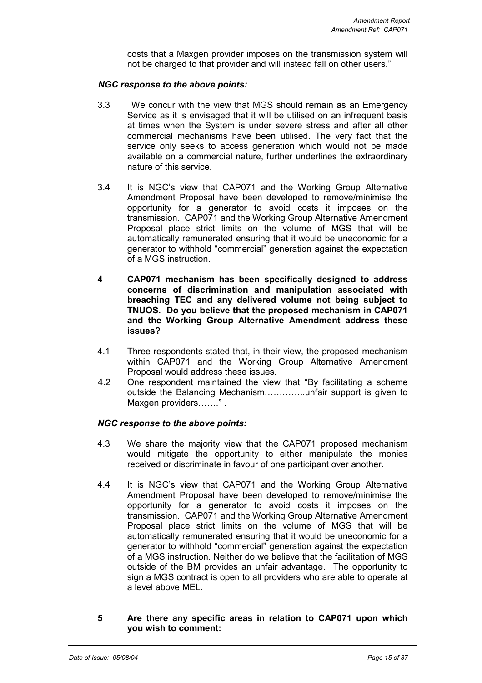costs that a Maxgen provider imposes on the transmission system will not be charged to that provider and will instead fall on other users."

#### *NGC response to the above points:*

- 3.3 We concur with the view that MGS should remain as an Emergency Service as it is envisaged that it will be utilised on an infrequent basis at times when the System is under severe stress and after all other commercial mechanisms have been utilised. The very fact that the service only seeks to access generation which would not be made available on a commercial nature, further underlines the extraordinary nature of this service.
- 3.4 It is NGC's view that CAP071 and the Working Group Alternative Amendment Proposal have been developed to remove/minimise the opportunity for a generator to avoid costs it imposes on the transmission. CAP071 and the Working Group Alternative Amendment Proposal place strict limits on the volume of MGS that will be automatically remunerated ensuring that it would be uneconomic for a generator to withhold "commercial" generation against the expectation of a MGS instruction.
- **4 CAP071 mechanism has been specifically designed to address concerns of discrimination and manipulation associated with breaching TEC and any delivered volume not being subject to TNUOS. Do you believe that the proposed mechanism in CAP071 and the Working Group Alternative Amendment address these issues?**
- 4.1 Three respondents stated that, in their view, the proposed mechanism within CAP071 and the Working Group Alternative Amendment Proposal would address these issues.
- 4.2 One respondent maintained the view that "By facilitating a scheme outside the Balancing Mechanism…………..unfair support is given to Maxgen providers……." .

## *NGC response to the above points:*

- 4.3 We share the majority view that the CAP071 proposed mechanism would mitigate the opportunity to either manipulate the monies received or discriminate in favour of one participant over another.
- 4.4 It is NGC's view that CAP071 and the Working Group Alternative Amendment Proposal have been developed to remove/minimise the opportunity for a generator to avoid costs it imposes on the transmission. CAP071 and the Working Group Alternative Amendment Proposal place strict limits on the volume of MGS that will be automatically remunerated ensuring that it would be uneconomic for a generator to withhold "commercial" generation against the expectation of a MGS instruction. Neither do we believe that the facilitation of MGS outside of the BM provides an unfair advantage. The opportunity to sign a MGS contract is open to all providers who are able to operate at a level above MEL.
- **5 Are there any specific areas in relation to CAP071 upon which you wish to comment:**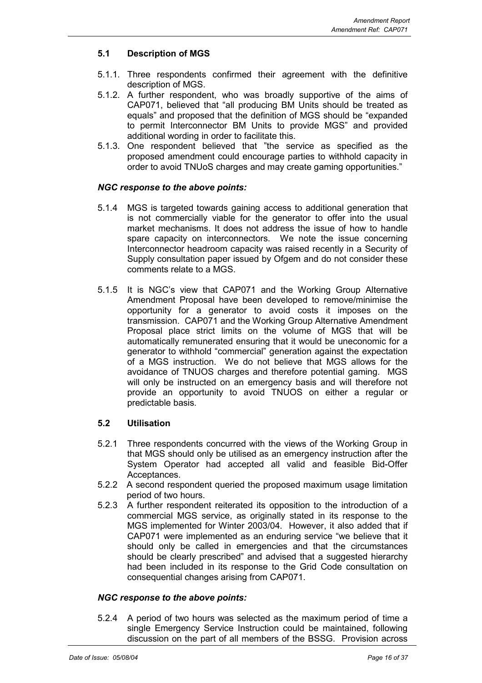## **5.1 Description of MGS**

- 5.1.1. Three respondents confirmed their agreement with the definitive description of MGS.
- 5.1.2. A further respondent, who was broadly supportive of the aims of CAP071, believed that "all producing BM Units should be treated as equals" and proposed that the definition of MGS should be "expanded to permit Interconnector BM Units to provide MGS" and provided additional wording in order to facilitate this.
- 5.1.3. One respondent believed that "the service as specified as the proposed amendment could encourage parties to withhold capacity in order to avoid TNUoS charges and may create gaming opportunities."

## *NGC response to the above points:*

- 5.1.4 MGS is targeted towards gaining access to additional generation that is not commercially viable for the generator to offer into the usual market mechanisms. It does not address the issue of how to handle spare capacity on interconnectors. We note the issue concerning Interconnector headroom capacity was raised recently in a Security of Supply consultation paper issued by Ofgem and do not consider these comments relate to a MGS.
- 5.1.5 It is NGC's view that CAP071 and the Working Group Alternative Amendment Proposal have been developed to remove/minimise the opportunity for a generator to avoid costs it imposes on the transmission. CAP071 and the Working Group Alternative Amendment Proposal place strict limits on the volume of MGS that will be automatically remunerated ensuring that it would be uneconomic for a generator to withhold "commercial" generation against the expectation of a MGS instruction. We do not believe that MGS allows for the avoidance of TNUOS charges and therefore potential gaming. MGS will only be instructed on an emergency basis and will therefore not provide an opportunity to avoid TNUOS on either a regular or predictable basis.

## **5.2 Utilisation**

- 5.2.1 Three respondents concurred with the views of the Working Group in that MGS should only be utilised as an emergency instruction after the System Operator had accepted all valid and feasible Bid-Offer Acceptances.
- 5.2.2 A second respondent queried the proposed maximum usage limitation period of two hours.
- 5.2.3 A further respondent reiterated its opposition to the introduction of a commercial MGS service, as originally stated in its response to the MGS implemented for Winter 2003/04. However, it also added that if CAP071 were implemented as an enduring service "we believe that it should only be called in emergencies and that the circumstances should be clearly prescribed" and advised that a suggested hierarchy had been included in its response to the Grid Code consultation on consequential changes arising from CAP071.

## *NGC response to the above points:*

5.2.4 A period of two hours was selected as the maximum period of time a single Emergency Service Instruction could be maintained, following discussion on the part of all members of the BSSG. Provision across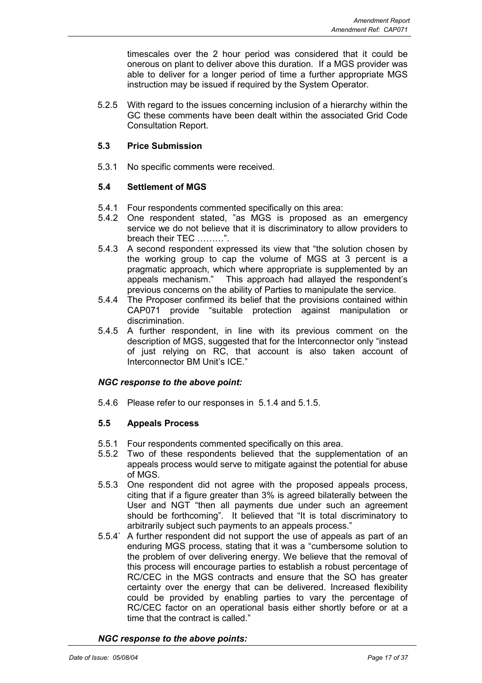timescales over the 2 hour period was considered that it could be onerous on plant to deliver above this duration. If a MGS provider was able to deliver for a longer period of time a further appropriate MGS instruction may be issued if required by the System Operator*.*

5.2.5 With regard to the issues concerning inclusion of a hierarchy within the GC these comments have been dealt within the associated Grid Code Consultation Report.

## **5.3 Price Submission**

5.3.1 No specific comments were received.

## **5.4 Settlement of MGS**

- 5.4.1 Four respondents commented specifically on this area:
- 5.4.2 One respondent stated, "as MGS is proposed as an emergency service we do not believe that it is discriminatory to allow providers to breach their TEC ………".
- 5.4.3 A second respondent expressed its view that "the solution chosen by the working group to cap the volume of MGS at 3 percent is a pragmatic approach, which where appropriate is supplemented by an appeals mechanism." This approach had allayed the respondent's previous concerns on the ability of Parties to manipulate the service.
- 5.4.4 The Proposer confirmed its belief that the provisions contained within CAP071 provide "suitable protection against manipulation or discrimination.
- 5.4.5 A further respondent, in line with its previous comment on the description of MGS, suggested that for the Interconnector only "instead of just relying on RC, that account is also taken account of Interconnector BM Unit's ICE."

## *NGC response to the above point:*

5.4.6 Please refer to our responses in 5.1.4 and 5.1.5.

## **5.5 Appeals Process**

- 5.5.1 Four respondents commented specifically on this area.
- 5.5.2 Two of these respondents believed that the supplementation of an appeals process would serve to mitigate against the potential for abuse of MGS.
- 5.5.3 One respondent did not agree with the proposed appeals process, citing that if a figure greater than 3% is agreed bilaterally between the User and NGT "then all payments due under such an agreement should be forthcoming". It believed that "It is total discriminatory to arbitrarily subject such payments to an appeals process."
- 5.5.4` A further respondent did not support the use of appeals as part of an enduring MGS process, stating that it was a "cumbersome solution to the problem of over delivering energy. We believe that the removal of this process will encourage parties to establish a robust percentage of RC/CEC in the MGS contracts and ensure that the SO has greater certainty over the energy that can be delivered. Increased flexibility could be provided by enabling parties to vary the percentage of RC/CEC factor on an operational basis either shortly before or at a time that the contract is called."

#### *NGC response to the above points:*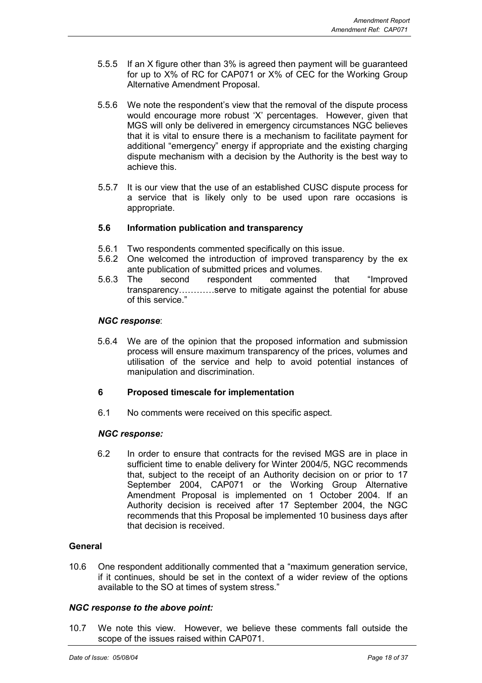- 5.5.5 If an X figure other than 3% is agreed then payment will be guaranteed for up to X% of RC for CAP071 or X% of CEC for the Working Group Alternative Amendment Proposal.
- 5.5.6 We note the respondent's view that the removal of the dispute process would encourage more robust 'X' percentages. However, given that MGS will only be delivered in emergency circumstances NGC believes that it is vital to ensure there is a mechanism to facilitate payment for additional "emergency" energy if appropriate and the existing charging dispute mechanism with a decision by the Authority is the best way to achieve this.
- 5.5.7 It is our view that the use of an established CUSC dispute process for a service that is likely only to be used upon rare occasions is appropriate.

## **5.6 Information publication and transparency**

- 5.6.1 Two respondents commented specifically on this issue.
- 5.6.2 One welcomed the introduction of improved transparency by the ex ante publication of submitted prices and volumes.
- 5.6.3 The second respondent commented that "Improved transparency…………serve to mitigate against the potential for abuse of this service."

#### *NGC response*:

5.6.4 We are of the opinion that the proposed information and submission process will ensure maximum transparency of the prices, volumes and utilisation of the service and help to avoid potential instances of manipulation and discrimination.

## **6 Proposed timescale for implementation**

6.1 No comments were received on this specific aspect.

#### *NGC response:*

6.2 In order to ensure that contracts for the revised MGS are in place in sufficient time to enable delivery for Winter 2004/5, NGC recommends that, subject to the receipt of an Authority decision on or prior to 17 September 2004, CAP071 or the Working Group Alternative Amendment Proposal is implemented on 1 October 2004. If an Authority decision is received after 17 September 2004, the NGC recommends that this Proposal be implemented 10 business days after that decision is received.

## **General**

10.6 One respondent additionally commented that a "maximum generation service, if it continues, should be set in the context of a wider review of the options available to the SO at times of system stress."

#### *NGC response to the above point:*

10.7 We note this view. However, we believe these comments fall outside the scope of the issues raised within CAP071.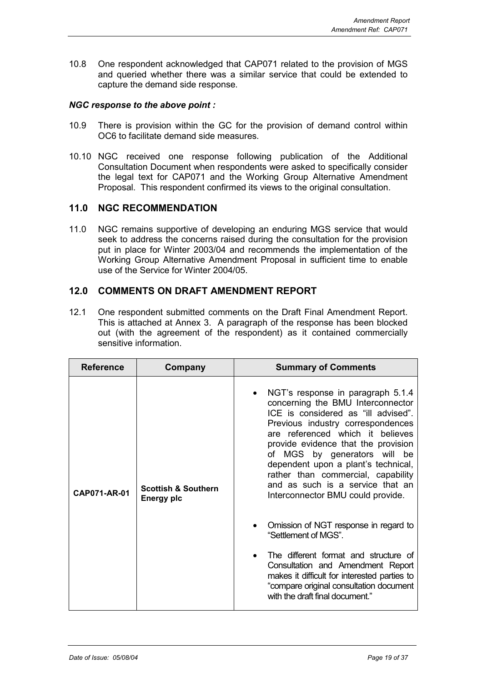10.8 One respondent acknowledged that CAP071 related to the provision of MGS and queried whether there was a similar service that could be extended to capture the demand side response.

### *NGC response to the above point :*

- 10.9 There is provision within the GC for the provision of demand control within OC6 to facilitate demand side measures*.*
- 10.10 NGC received one response following publication of the Additional Consultation Document when respondents were asked to specifically consider the legal text for CAP071 and the Working Group Alternative Amendment Proposal. This respondent confirmed its views to the original consultation*.*

## **11.0 NGC RECOMMENDATION**

11.0 NGC remains supportive of developing an enduring MGS service that would seek to address the concerns raised during the consultation for the provision put in place for Winter 2003/04 and recommends the implementation of the Working Group Alternative Amendment Proposal in sufficient time to enable use of the Service for Winter 2004/05.

## **12.0 COMMENTS ON DRAFT AMENDMENT REPORT**

12.1 One respondent submitted comments on the Draft Final Amendment Report. This is attached at Annex 3. A paragraph of the response has been blocked out (with the agreement of the respondent) as it contained commercially sensitive information.

| <b>Reference</b> | Company                                             | <b>Summary of Comments</b>                                                                                                                                                                                                                                                                                                                                                                                          |
|------------------|-----------------------------------------------------|---------------------------------------------------------------------------------------------------------------------------------------------------------------------------------------------------------------------------------------------------------------------------------------------------------------------------------------------------------------------------------------------------------------------|
| CAP071-AR-01     | <b>Scottish &amp; Southern</b><br><b>Energy plc</b> | NGT's response in paragraph 5.1.4<br>concerning the BMU Interconnector<br>ICE is considered as "ill advised".<br>Previous industry correspondences<br>are referenced which it believes<br>provide evidence that the provision<br>of MGS by generators will be<br>dependent upon a plant's technical,<br>rather than commercial, capability<br>and as such is a service that an<br>Interconnector BMU could provide. |
|                  |                                                     | Omission of NGT response in regard to<br>"Settlement of MGS".                                                                                                                                                                                                                                                                                                                                                       |
|                  |                                                     | The different format and structure of<br>Consultation and Amendment Report<br>makes it difficult for interested parties to<br>"compare original consultation document<br>with the draft final document."                                                                                                                                                                                                            |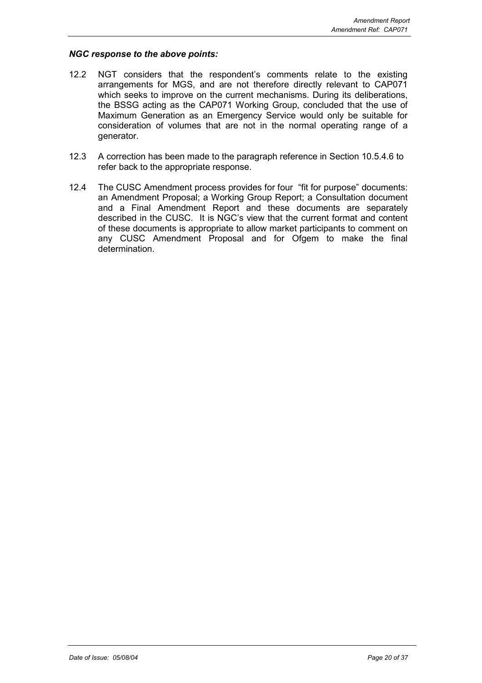#### *NGC response to the above points:*

- 12.2 NGT considers that the respondent's comments relate to the existing arrangements for MGS, and are not therefore directly relevant to CAP071 which seeks to improve on the current mechanisms. During its deliberations, the BSSG acting as the CAP071 Working Group, concluded that the use of Maximum Generation as an Emergency Service would only be suitable for consideration of volumes that are not in the normal operating range of a generator.
- 12.3 A correction has been made to the paragraph reference in Section 10.5.4.6 to refer back to the appropriate response.
- 12.4 The CUSC Amendment process provides for four "fit for purpose" documents: an Amendment Proposal; a Working Group Report; a Consultation document and a Final Amendment Report and these documents are separately described in the CUSC. It is NGC's view that the current format and content of these documents is appropriate to allow market participants to comment on any CUSC Amendment Proposal and for Ofgem to make the final determination.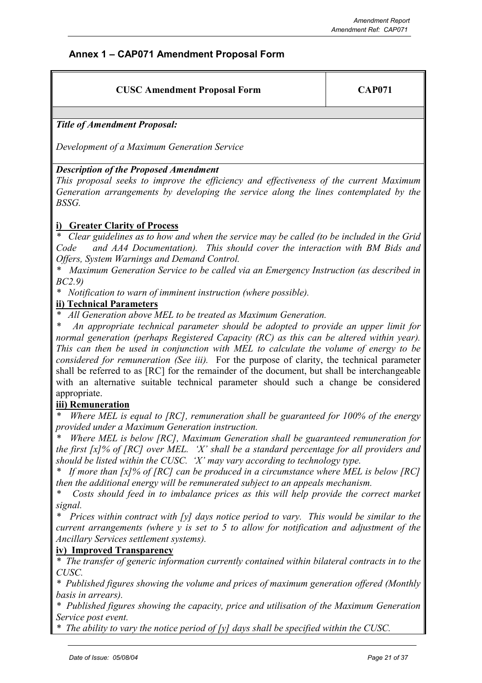## **Annex 1 – CAP071 Amendment Proposal Form**

| <b>CUSC Amendment Proposal Form</b> | <b>CAP071</b> |
|-------------------------------------|---------------|
|                                     |               |

*Title of Amendment Proposal:*

*Development of a Maximum Generation Service*

## *Description of the Proposed Amendment*

*This proposal seeks to improve the efficiency and effectiveness of the current Maximum Generation arrangements by developing the service along the lines contemplated by the BSSG.*

## **i) Greater Clarity of Process**

*\* Clear guidelines as to how and when the service may be called (to be included in the Grid Code and AA4 Documentation). This should cover the interaction with BM Bids and Offers, System Warnings and Demand Control.*

*\* Maximum Generation Service to be called via an Emergency Instruction (as described in BC2.9)*

*\* Notification to warn of imminent instruction (where possible).*

## **ii) Technical Parameters**

*\* All Generation above MEL to be treated as Maximum Generation.*

*\* An appropriate technical parameter should be adopted to provide an upper limit for normal generation (perhaps Registered Capacity (RC) as this can be altered within year). This can then be used in conjunction with MEL to calculate the volume of energy to be considered for remuneration (See iii).* For the purpose of clarity, the technical parameter shall be referred to as [RC] for the remainder of the document, but shall be interchangeable with an alternative suitable technical parameter should such a change be considered appropriate.

## **iii) Remuneration**

*Where MEL is equal to [RC], remuneration shall be guaranteed for 100% of the energy provided under a Maximum Generation instruction.*

*Where MEL is below [RC], Maximum Generation shall be guaranteed remuneration for the first [x]% of [RC] over MEL. 'X' shall be a standard percentage for all providers and should be listed within the CUSC. 'X' may vary according to technology type.*

*If more than [x]% of [RC] can be produced in a circumstance where MEL is below [RC] then the additional energy will be remunerated subject to an appeals mechanism.*

*\* Costs should feed in to imbalance prices as this will help provide the correct market signal.*

*Prices within contract with [y] days notice period to vary. This would be similar to the current arrangements (where y is set to 5 to allow for notification and adjustment of the Ancillary Services settlement systems).*

## **iv) Improved Transparency**

*\* The transfer of generic information currently contained within bilateral contracts in to the CUSC.*

*\* Published figures showing the volume and prices of maximum generation offered (Monthly basis in arrears).*

*\* Published figures showing the capacity, price and utilisation of the Maximum Generation Service post event.*

*\* The ability to vary the notice period of [y] days shall be specified within the CUSC.*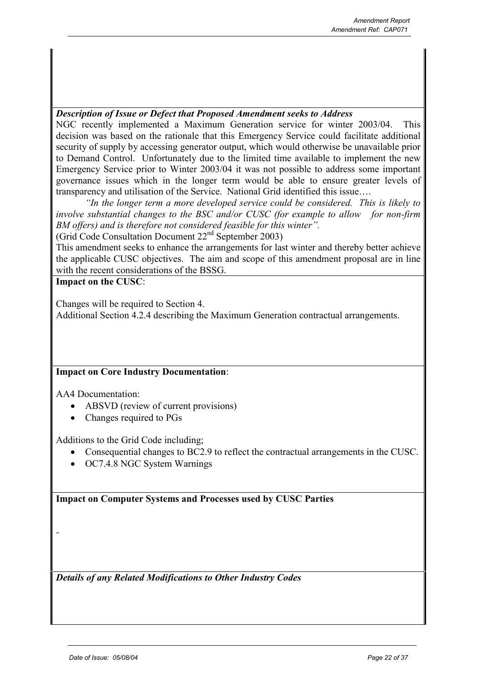## *Description of Issue or Defect that Proposed Amendment seeks to Address*

NGC recently implemented a Maximum Generation service for winter 2003/04. This decision was based on the rationale that this Emergency Service could facilitate additional security of supply by accessing generator output, which would otherwise be unavailable prior to Demand Control. Unfortunately due to the limited time available to implement the new Emergency Service prior to Winter 2003/04 it was not possible to address some important governance issues which in the longer term would be able to ensure greater levels of transparency and utilisation of the Service. National Grid identified this issue….

*"In the longer term a more developed service could be considered. This is likely to involve substantial changes to the BSC and/or CUSC (for example to allow for non-firm BM offers) and is therefore not considered feasible for this winter".*

(Grid Code Consultation Document 22nd September 2003)

This amendment seeks to enhance the arrangements for last winter and thereby better achieve the applicable CUSC objectives. The aim and scope of this amendment proposal are in line with the recent considerations of the BSSG.

## **Impact on the CUSC**:

Changes will be required to Section 4.

Additional Section 4.2.4 describing the Maximum Generation contractual arrangements.

## **Impact on Core Industry Documentation**:

AA4 Documentation:

*-*

- ABSVD (review of current provisions)
- Changes required to PGs

Additions to the Grid Code including;

- Consequential changes to BC2.9 to reflect the contractual arrangements in the CUSC.
- OC7.4.8 NGC System Warnings

**Impact on Computer Systems and Processes used by CUSC Parties**

*Details of any Related Modifications to Other Industry Codes*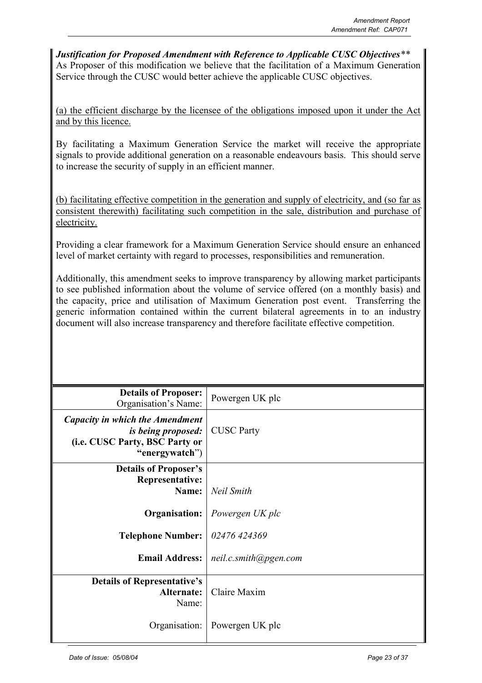*Justification for Proposed Amendment with Reference to Applicable CUSC Objectives\*\** As Proposer of this modification we believe that the facilitation of a Maximum Generation Service through the CUSC would better achieve the applicable CUSC objectives.

(a) the efficient discharge by the licensee of the obligations imposed upon it under the Act and by this licence.

By facilitating a Maximum Generation Service the market will receive the appropriate signals to provide additional generation on a reasonable endeavours basis. This should serve to increase the security of supply in an efficient manner.

(b) facilitating effective competition in the generation and supply of electricity, and (so far as consistent therewith) facilitating such competition in the sale, distribution and purchase of electricity.

Providing a clear framework for a Maximum Generation Service should ensure an enhanced level of market certainty with regard to processes, responsibilities and remuneration.

Additionally, this amendment seeks to improve transparency by allowing market participants to see published information about the volume of service offered (on a monthly basis) and the capacity, price and utilisation of Maximum Generation post event. Transferring the generic information contained within the current bilateral agreements in to an industry document will also increase transparency and therefore facilitate effective competition.

| <b>Details of Proposer:</b><br>Organisation's Name:                                                              | Powergen UK plc       |
|------------------------------------------------------------------------------------------------------------------|-----------------------|
| Capacity in which the Amendment<br><i>is being proposed:</i><br>(i.e. CUSC Party, BSC Party or<br>"energywatch") | <b>CUSC Party</b>     |
| <b>Details of Proposer's</b>                                                                                     |                       |
| <b>Representative:</b><br>Name:                                                                                  | <b>Neil Smith</b>     |
| Organisation:                                                                                                    | Powergen UK plc       |
| <b>Telephone Number:</b>                                                                                         | 02476 424369          |
| <b>Email Address:</b>                                                                                            | neil.c.smith@pgen.com |
| <b>Details of Representative's</b><br>Alternate:<br>Name:                                                        | Claire Maxim          |
| Organisation:                                                                                                    | Powergen UK plc       |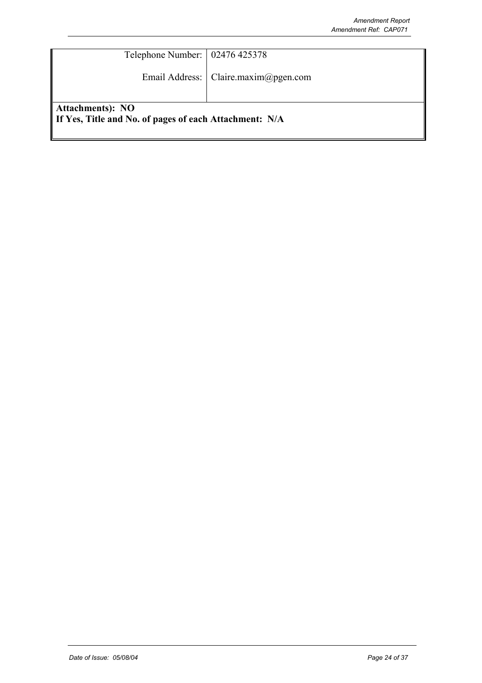| Telephone Number:   02476 425378                       |                                        |
|--------------------------------------------------------|----------------------------------------|
|                                                        | Email Address:   Claire.maxim@pgen.com |
|                                                        |                                        |
| Attachments): NO                                       |                                        |
| If Yes, Title and No. of pages of each Attachment: N/A |                                        |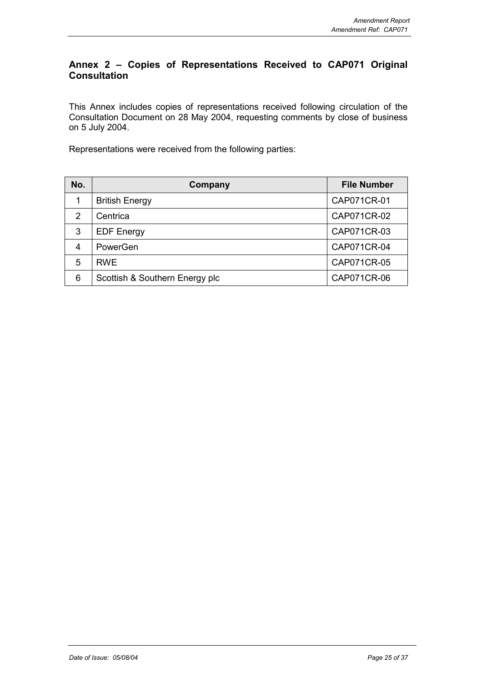## **Annex 2 – Copies of Representations Received to CAP071 Original Consultation**

This Annex includes copies of representations received following circulation of the Consultation Document on 28 May 2004, requesting comments by close of business on 5 July 2004.

Representations were received from the following parties:

| No. | Company                        | <b>File Number</b> |
|-----|--------------------------------|--------------------|
| 1   | <b>British Energy</b>          | CAP071CR-01        |
| 2   | Centrica                       | CAP071CR-02        |
| 3   | <b>EDF Energy</b>              | CAP071CR-03        |
| 4   | PowerGen                       | CAP071CR-04        |
| 5   | <b>RWE</b>                     | CAP071CR-05        |
| 6   | Scottish & Southern Energy plc | CAP071CR-06        |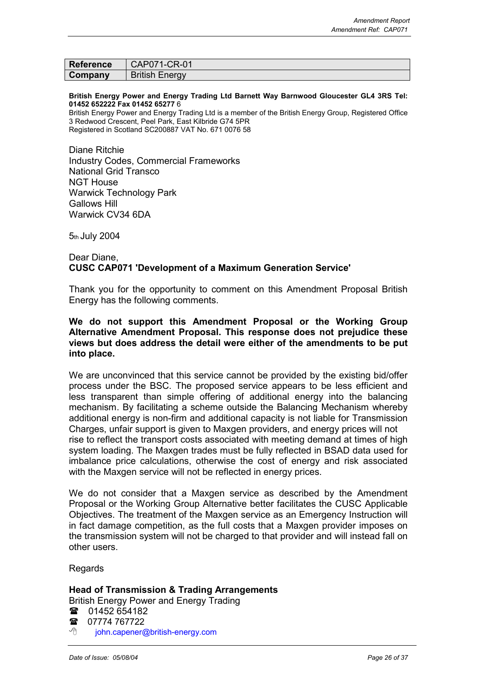| <b>Reference</b> | CAP071-CR-01          |
|------------------|-----------------------|
| Company          | <b>British Energy</b> |

#### **British Energy Power and Energy Trading Ltd Barnett Way Barnwood Gloucester GL4 3RS Tel: 01452 652222 Fax 01452 65277** 6

British Energy Power and Energy Trading Ltd is a member of the British Energy Group, Registered Office 3 Redwood Crescent, Peel Park, East Kilbride G74 5PR Registered in Scotland SC200887 VAT No. 671 0076 58

Diane Ritchie Industry Codes, Commercial Frameworks National Grid Transco NGT House Warwick Technology Park Gallows Hill Warwick CV34 6DA

5th July 2004

#### Dear Diane, **CUSC CAP071 'Development of a Maximum Generation Service'**

Thank you for the opportunity to comment on this Amendment Proposal British Energy has the following comments.

## **We do not support this Amendment Proposal or the Working Group Alternative Amendment Proposal. This response does not prejudice these views but does address the detail were either of the amendments to be put into place.**

We are unconvinced that this service cannot be provided by the existing bid/offer process under the BSC. The proposed service appears to be less efficient and less transparent than simple offering of additional energy into the balancing mechanism. By facilitating a scheme outside the Balancing Mechanism whereby additional energy is non-firm and additional capacity is not liable for Transmission Charges, unfair support is given to Maxgen providers, and energy prices will not rise to reflect the transport costs associated with meeting demand at times of high system loading. The Maxgen trades must be fully reflected in BSAD data used for imbalance price calculations, otherwise the cost of energy and risk associated with the Maxgen service will not be reflected in energy prices.

We do not consider that a Maxgen service as described by the Amendment Proposal or the Working Group Alternative better facilitates the CUSC Applicable Objectives. The treatment of the Maxgen service as an Emergency Instruction will in fact damage competition, as the full costs that a Maxgen provider imposes on the transmission system will not be charged to that provider and will instead fall on other users.

## Regards

## **Head of Transmission & Trading Arrangements**

British Energy Power and Energy Trading

- **■** 01452 654182
- 07774 767722
- 게 john.capener@british-energy.com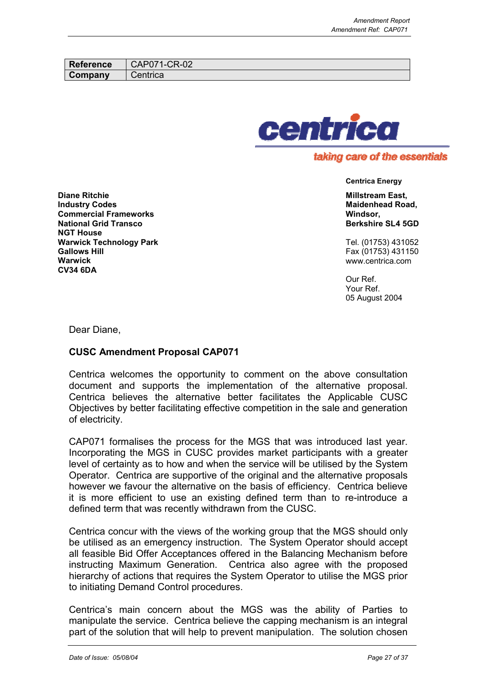| Reference | CAP071-CR-02         |
|-----------|----------------------|
| Company   | $\mathcal L$ entrica |



## taking care of the essentials

**Centrica Energy**

**Millstream East, Maidenhead Road, Windsor, Berkshire SL4 5GD**

Tel. (01753) 431052 Fax (01753) 431150 www.centrica.com

Our Ref. Your Ref. 05 August 2004

**Diane Ritchie Industry Codes Commercial Frameworks National Grid Transco NGT House Warwick Technology Park Gallows Hill Warwick CV34 6DA**

Dear Diane,

## **CUSC Amendment Proposal CAP071**

Centrica welcomes the opportunity to comment on the above consultation document and supports the implementation of the alternative proposal. Centrica believes the alternative better facilitates the Applicable CUSC Objectives by better facilitating effective competition in the sale and generation of electricity.

CAP071 formalises the process for the MGS that was introduced last year. Incorporating the MGS in CUSC provides market participants with a greater level of certainty as to how and when the service will be utilised by the System Operator. Centrica are supportive of the original and the alternative proposals however we favour the alternative on the basis of efficiency. Centrica believe it is more efficient to use an existing defined term than to re-introduce a defined term that was recently withdrawn from the CUSC.

Centrica concur with the views of the working group that the MGS should only be utilised as an emergency instruction. The System Operator should accept all feasible Bid Offer Acceptances offered in the Balancing Mechanism before instructing Maximum Generation. Centrica also agree with the proposed hierarchy of actions that requires the System Operator to utilise the MGS prior to initiating Demand Control procedures.

Centrica's main concern about the MGS was the ability of Parties to manipulate the service. Centrica believe the capping mechanism is an integral part of the solution that will help to prevent manipulation. The solution chosen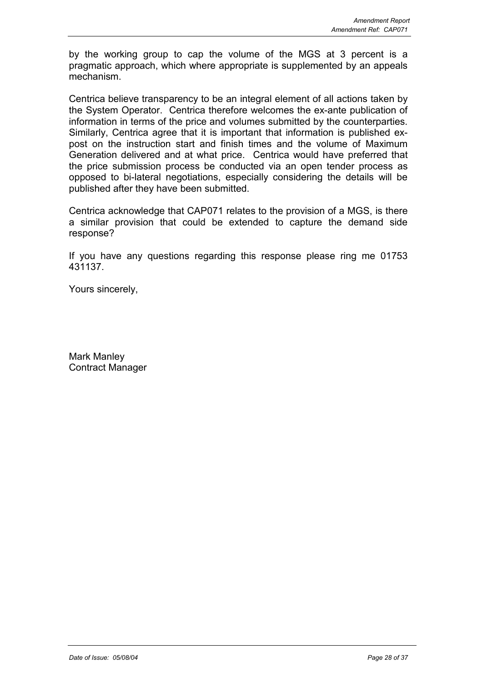by the working group to cap the volume of the MGS at 3 percent is a pragmatic approach, which where appropriate is supplemented by an appeals mechanism.

Centrica believe transparency to be an integral element of all actions taken by the System Operator. Centrica therefore welcomes the ex-ante publication of information in terms of the price and volumes submitted by the counterparties. Similarly, Centrica agree that it is important that information is published expost on the instruction start and finish times and the volume of Maximum Generation delivered and at what price. Centrica would have preferred that the price submission process be conducted via an open tender process as opposed to bi-lateral negotiations, especially considering the details will be published after they have been submitted.

Centrica acknowledge that CAP071 relates to the provision of a MGS, is there a similar provision that could be extended to capture the demand side response?

If you have any questions regarding this response please ring me 01753 431137.

Yours sincerely,

Mark Manley Contract Manager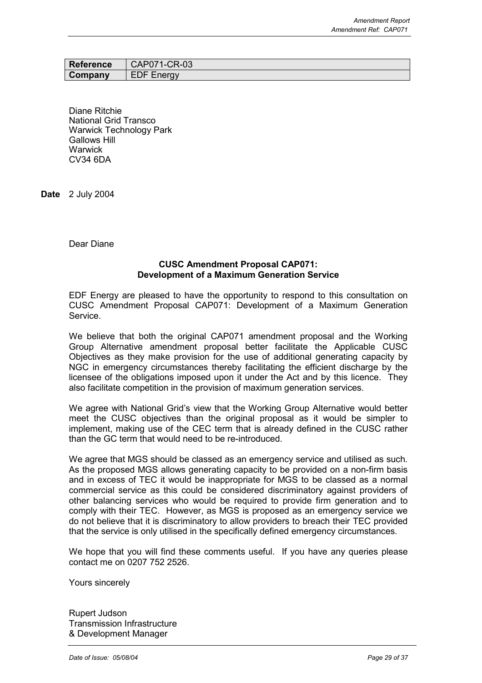| Reference | CAP071-CR-03      |
|-----------|-------------------|
| Company   | <b>EDF Energy</b> |

Diane Ritchie National Grid Transco Warwick Technology Park Gallows Hill **Warwick** CV34 6DA

**Date** 2 July 2004

Dear Diane

#### **CUSC Amendment Proposal CAP071: Development of a Maximum Generation Service**

EDF Energy are pleased to have the opportunity to respond to this consultation on CUSC Amendment Proposal CAP071: Development of a Maximum Generation Service.

We believe that both the original CAP071 amendment proposal and the Working Group Alternative amendment proposal better facilitate the Applicable CUSC Objectives as they make provision for the use of additional generating capacity by NGC in emergency circumstances thereby facilitating the efficient discharge by the licensee of the obligations imposed upon it under the Act and by this licence. They also facilitate competition in the provision of maximum generation services.

We agree with National Grid's view that the Working Group Alternative would better meet the CUSC objectives than the original proposal as it would be simpler to implement, making use of the CEC term that is already defined in the CUSC rather than the GC term that would need to be re-introduced.

We agree that MGS should be classed as an emergency service and utilised as such. As the proposed MGS allows generating capacity to be provided on a non-firm basis and in excess of TEC it would be inappropriate for MGS to be classed as a normal commercial service as this could be considered discriminatory against providers of other balancing services who would be required to provide firm generation and to comply with their TEC. However, as MGS is proposed as an emergency service we do not believe that it is discriminatory to allow providers to breach their TEC provided that the service is only utilised in the specifically defined emergency circumstances.

We hope that you will find these comments useful. If you have any queries please contact me on 0207 752 2526.

Yours sincerely

Rupert Judson Transmission Infrastructure & Development Manager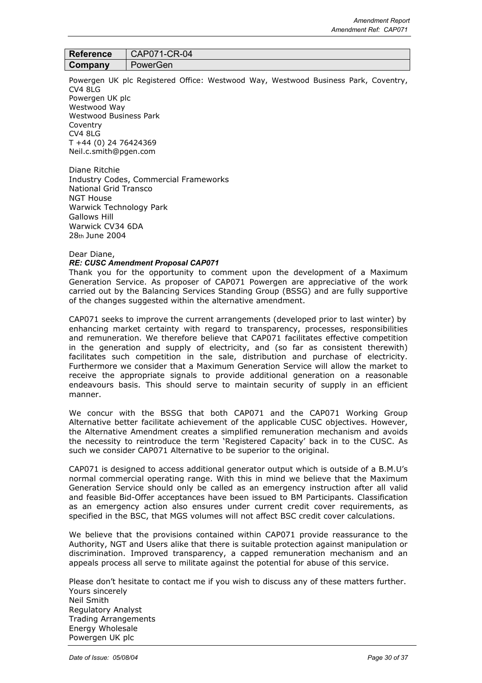| <b>Reference</b> | CAP071-CR-04 |
|------------------|--------------|
| Company          | PowerGen     |

Powergen UK plc Registered Office: Westwood Way, Westwood Business Park, Coventry,  $CVA$  8LG Powergen UK plc Westwood Way Westwood Business Park Coventry CV4 8LG T +44 (0) 24 76424369 Neil.c.smith@pgen.com

Diane Ritchie Industry Codes, Commercial Frameworks National Grid Transco NGT House Warwick Technology Park Gallows Hill Warwick CV34 6DA 28th June 2004

#### Dear Diane,

#### *RE: CUSC Amendment Proposal CAP071*

Thank you for the opportunity to comment upon the development of a Maximum Generation Service. As proposer of CAP071 Powergen are appreciative of the work carried out by the Balancing Services Standing Group (BSSG) and are fully supportive of the changes suggested within the alternative amendment.

CAP071 seeks to improve the current arrangements (developed prior to last winter) by enhancing market certainty with regard to transparency, processes, responsibilities and remuneration. We therefore believe that CAP071 facilitates effective competition in the generation and supply of electricity, and (so far as consistent therewith) facilitates such competition in the sale, distribution and purchase of electricity. Furthermore we consider that a Maximum Generation Service will allow the market to receive the appropriate signals to provide additional generation on a reasonable endeavours basis. This should serve to maintain security of supply in an efficient manner.

We concur with the BSSG that both CAP071 and the CAP071 Working Group Alternative better facilitate achievement of the applicable CUSC objectives. However, the Alternative Amendment creates a simplified remuneration mechanism and avoids the necessity to reintroduce the term 'Registered Capacity' back in to the CUSC. As such we consider CAP071 Alternative to be superior to the original.

CAP071 is designed to access additional generator output which is outside of a B.M.U's normal commercial operating range. With this in mind we believe that the Maximum Generation Service should only be called as an emergency instruction after all valid and feasible Bid-Offer acceptances have been issued to BM Participants. Classification as an emergency action also ensures under current credit cover requirements, as specified in the BSC, that MGS volumes will not affect BSC credit cover calculations.

We believe that the provisions contained within CAP071 provide reassurance to the Authority, NGT and Users alike that there is suitable protection against manipulation or discrimination. Improved transparency, a capped remuneration mechanism and an appeals process all serve to militate against the potential for abuse of this service.

Please don't hesitate to contact me if you wish to discuss any of these matters further. Yours sincerely Neil Smith Regulatory Analyst Trading Arrangements Energy Wholesale Powergen UK plc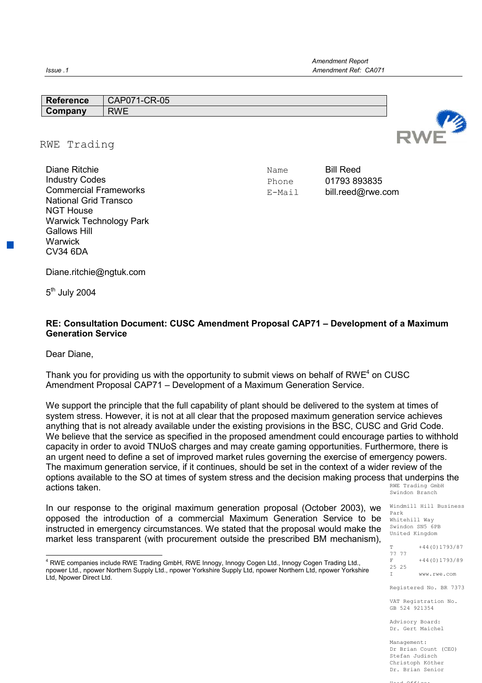| <b>Ret</b><br>.<br>erence | $-CR-05$<br>CAF<br><b>∪≀</b> |  |
|---------------------------|------------------------------|--|
| $\sim$                    | <b>RWF</b>                   |  |
|                           |                              |  |

#### RWE Trading

| Diane Ritchie                  |
|--------------------------------|
| <b>Industry Codes</b>          |
| <b>Commercial Frameworks</b>   |
| National Grid Transco          |
| <b>NGT House</b>               |
| <b>Warwick Technology Park</b> |
| Gallows Hill                   |
| Warwick                        |
| CV34 6DA                       |
|                                |

Name Bill Reed Phone 01793 893835 E-Mail bill.reed@rwe.com

Diane.ritchie@ngtuk.com

5<sup>th</sup> July 2004

## **RE: Consultation Document: CUSC Amendment Proposal CAP71 – Development of a Maximum Generation Service**

Dear Diane,

Thank you for providing us with the opportunity to submit views on behalf of RWE<sup>4</sup> on CUSC Amendment Proposal CAP71 – Development of a Maximum Generation Service.

RWE Trading GmbH We support the principle that the full capability of plant should be delivered to the system at times of system stress. However, it is not at all clear that the proposed maximum generation service achieves anything that is not already available under the existing provisions in the BSC, CUSC and Grid Code. We believe that the service as specified in the proposed amendment could encourage parties to withhold capacity in order to avoid TNUoS charges and may create gaming opportunities. Furthermore, there is an urgent need to define a set of improved market rules governing the exercise of emergency powers. The maximum generation service, if it continues, should be set in the context of a wider review of the options available to the SO at times of system stress and the decision making process that underpins the actions taken.

In our response to the original maximum generation proposal (October 2003), we opposed the introduction of a commercial Maximum Generation Service to be instructed in emergency circumstances. We stated that the proposal would make the market less transparent (with procurement outside the prescribed BM mechanism),

Swindon Branch

Windmill Hill Business Park Whitehill Way Swindon SN5 6PB United Kingdom

T +44(0)1793/87 77 77  $F$  +44 (0) 1793/89 25 25 www.rwe.com Registered No. BR 7373

VAT Registration No. GB 524 921354

Advisory Board: Dr. Gert Maichel

Management: Dr Brian Count (CEO) Stefan Judisch Christoph Köther Dr. Brian Senior

Head Office:



 4 RWE companies include RWE Trading GmbH, RWE Innogy, Innogy Cogen Ltd., Innogy Cogen Trading Ltd., npower Ltd., npower Northern Supply Ltd., npower Yorkshire Supply Ltd, npower Northern Ltd, npower Yorkshire Ltd, Npower Direct Ltd.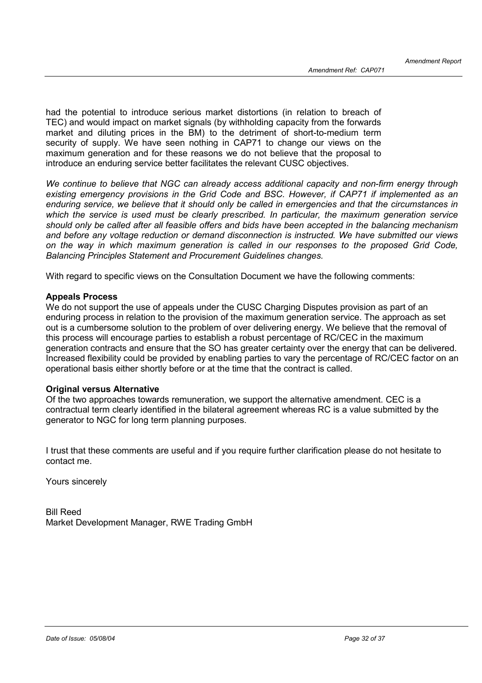had the potential to introduce serious market distortions (in relation to breach of TEC) and would impact on market signals (by withholding capacity from the forwards market and diluting prices in the BM) to the detriment of short-to-medium term security of supply. We have seen nothing in CAP71 to change our views on the maximum generation and for these reasons we do not believe that the proposal to introduce an enduring service better facilitates the relevant CUSC objectives.

*We continue to believe that NGC can already access additional capacity and non-firm energy through existing emergency provisions in the Grid Code and BSC. However, if CAP71 if implemented as an enduring service, we believe that it should only be called in emergencies and that the circumstances in which the service is used must be clearly prescribed. In particular, the maximum generation service should only be called after all feasible offers and bids have been accepted in the balancing mechanism and before any voltage reduction or demand disconnection is instructed. We have submitted our views on the way in which maximum generation is called in our responses to the proposed Grid Code, Balancing Principles Statement and Procurement Guidelines changes.*

With regard to specific views on the Consultation Document we have the following comments:

#### **Appeals Process**

We do not support the use of appeals under the CUSC Charging Disputes provision as part of an enduring process in relation to the provision of the maximum generation service. The approach as set out is a cumbersome solution to the problem of over delivering energy. We believe that the removal of this process will encourage parties to establish a robust percentage of RC/CEC in the maximum generation contracts and ensure that the SO has greater certainty over the energy that can be delivered. Increased flexibility could be provided by enabling parties to vary the percentage of RC/CEC factor on an operational basis either shortly before or at the time that the contract is called.

## **Original versus Alternative**

Of the two approaches towards remuneration, we support the alternative amendment. CEC is a contractual term clearly identified in the bilateral agreement whereas RC is a value submitted by the generator to NGC for long term planning purposes.

I trust that these comments are useful and if you require further clarification please do not hesitate to contact me.

Yours sincerely

Bill Reed Market Development Manager, RWE Trading GmbH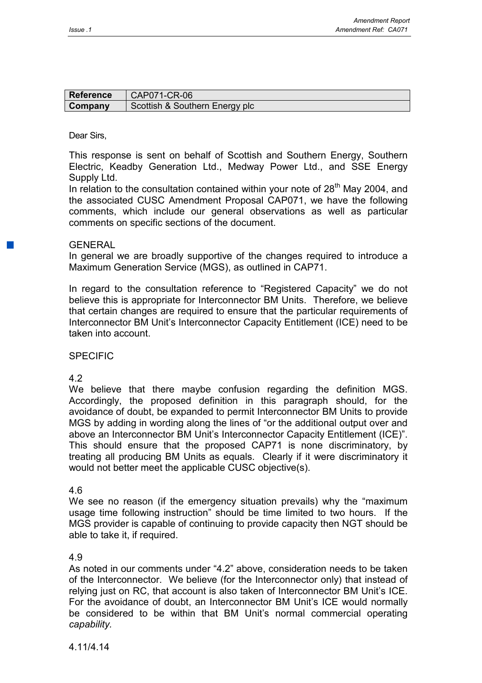| <b>Reference</b> | CAP071-CR-06                   |
|------------------|--------------------------------|
| Company          | Scottish & Southern Energy plc |

### Dear Sirs,

This response is sent on behalf of Scottish and Southern Energy, Southern Electric, Keadby Generation Ltd., Medway Power Ltd., and SSE Energy Supply Ltd.

In relation to the consultation contained within your note of  $28<sup>th</sup>$  May 2004, and the associated CUSC Amendment Proposal CAP071, we have the following comments, which include our general observations as well as particular comments on specific sections of the document.

## **GENERAL**

In general we are broadly supportive of the changes required to introduce a Maximum Generation Service (MGS), as outlined in CAP71.

In regard to the consultation reference to "Registered Capacity" we do not believe this is appropriate for Interconnector BM Units. Therefore, we believe that certain changes are required to ensure that the particular requirements of Interconnector BM Unit's Interconnector Capacity Entitlement (ICE) need to be taken into account.

## SPECIFIC

4.2

We believe that there maybe confusion regarding the definition MGS. Accordingly, the proposed definition in this paragraph should, for the avoidance of doubt, be expanded to permit Interconnector BM Units to provide MGS by adding in wording along the lines of "or the additional output over and above an Interconnector BM Unit's Interconnector Capacity Entitlement (ICE)". This should ensure that the proposed CAP71 is none discriminatory, by treating all producing BM Units as equals. Clearly if it were discriminatory it would not better meet the applicable CUSC objective(s).

## 4.6

We see no reason (if the emergency situation prevails) why the "maximum usage time following instruction" should be time limited to two hours. If the MGS provider is capable of continuing to provide capacity then NGT should be able to take it, if required.

## 4.9

As noted in our comments under "4.2" above, consideration needs to be taken of the Interconnector. We believe (for the Interconnector only) that instead of relying just on RC, that account is also taken of Interconnector BM Unit's ICE. For the avoidance of doubt, an Interconnector BM Unit's ICE would normally be considered to be within that BM Unit's normal commercial operating *capability.*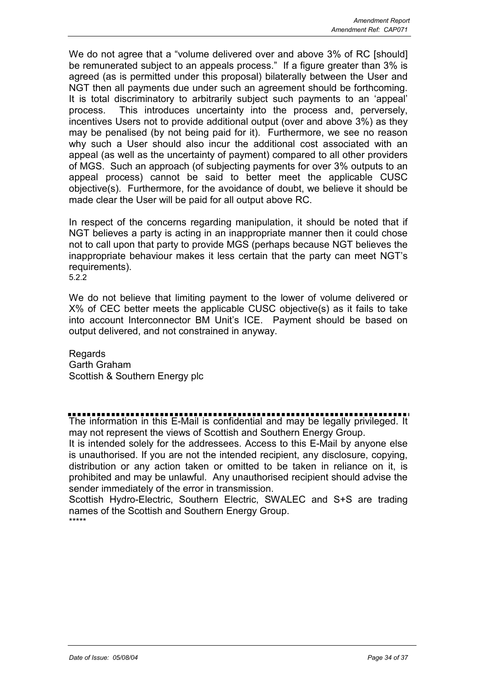We do not agree that a "volume delivered over and above 3% of RC [should] be remunerated subject to an appeals process." If a figure greater than 3% is agreed (as is permitted under this proposal) bilaterally between the User and NGT then all payments due under such an agreement should be forthcoming. It is total discriminatory to arbitrarily subject such payments to an 'appeal' process. This introduces uncertainty into the process and, perversely, incentives Users not to provide additional output (over and above 3%) as they may be penalised (by not being paid for it). Furthermore, we see no reason why such a User should also incur the additional cost associated with an appeal (as well as the uncertainty of payment) compared to all other providers of MGS. Such an approach (of subjecting payments for over 3% outputs to an appeal process) cannot be said to better meet the applicable CUSC objective(s). Furthermore, for the avoidance of doubt, we believe it should be made clear the User will be paid for all output above RC.

In respect of the concerns regarding manipulation, it should be noted that if NGT believes a party is acting in an inappropriate manner then it could chose not to call upon that party to provide MGS (perhaps because NGT believes the inappropriate behaviour makes it less certain that the party can meet NGT's requirements). 5.2.2

We do not believe that limiting payment to the lower of volume delivered or X% of CEC better meets the applicable CUSC objective(s) as it fails to take into account Interconnector BM Unit's ICE. Payment should be based on output delivered, and not constrained in anyway.

Regards Garth Graham Scottish & Southern Energy plc

The information in this E-Mail is confidential and may be legally privileged. It may not represent the views of Scottish and Southern Energy Group.

It is intended solely for the addressees. Access to this E-Mail by anyone else is unauthorised. If you are not the intended recipient, any disclosure, copying, distribution or any action taken or omitted to be taken in reliance on it, is prohibited and may be unlawful. Any unauthorised recipient should advise the sender immediately of the error in transmission.

Scottish Hydro-Electric, Southern Electric, SWALEC and S+S are trading names of the Scottish and Southern Energy Group. \*\*\*\*\*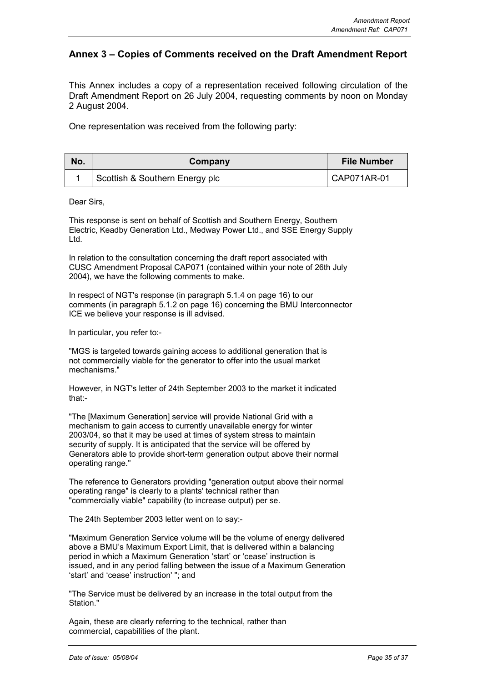## **Annex 3 – Copies of Comments received on the Draft Amendment Report**

This Annex includes a copy of a representation received following circulation of the Draft Amendment Report on 26 July 2004, requesting comments by noon on Monday 2 August 2004.

One representation was received from the following party:

| No. | Company                        | File Number |
|-----|--------------------------------|-------------|
|     | Scottish & Southern Energy plc | CAP071AR-01 |

Dear Sirs,

This response is sent on behalf of Scottish and Southern Energy, Southern Electric, Keadby Generation Ltd., Medway Power Ltd., and SSE Energy Supply Ltd.

In relation to the consultation concerning the draft report associated with CUSC Amendment Proposal CAP071 (contained within your note of 26th July 2004), we have the following comments to make.

In respect of NGT's response (in paragraph 5.1.4 on page 16) to our comments (in paragraph 5.1.2 on page 16) concerning the BMU Interconnector ICE we believe your response is ill advised.

In particular, you refer to:-

"MGS is targeted towards gaining access to additional generation that is not commercially viable for the generator to offer into the usual market mechanisms."

However, in NGT's letter of 24th September 2003 to the market it indicated that:-

"The [Maximum Generation] service will provide National Grid with a mechanism to gain access to currently unavailable energy for winter 2003/04, so that it may be used at times of system stress to maintain security of supply. It is anticipated that the service will be offered by Generators able to provide short-term generation output above their normal operating range."

The reference to Generators providing "generation output above their normal operating range" is clearly to a plants' technical rather than "commercially viable" capability (to increase output) per se.

The 24th September 2003 letter went on to say:-

"Maximum Generation Service volume will be the volume of energy delivered above a BMU's Maximum Export Limit, that is delivered within a balancing period in which a Maximum Generation 'start' or 'cease' instruction is issued, and in any period falling between the issue of a Maximum Generation 'start' and 'cease' instruction' "; and

"The Service must be delivered by an increase in the total output from the Station."

Again, these are clearly referring to the technical, rather than commercial, capabilities of the plant.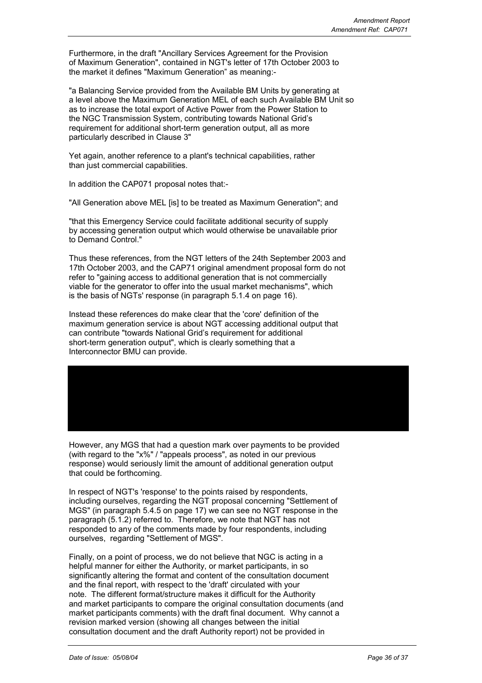Furthermore, in the draft "Ancillary Services Agreement for the Provision of Maximum Generation", contained in NGT's letter of 17th October 2003 to the market it defines "Maximum Generation" as meaning:-

"a Balancing Service provided from the Available BM Units by generating at a level above the Maximum Generation MEL of each such Available BM Unit so as to increase the total export of Active Power from the Power Station to the NGC Transmission System, contributing towards National Grid's requirement for additional short-term generation output, all as more particularly described in Clause 3"

Yet again, another reference to a plant's technical capabilities, rather than just commercial capabilities.

In addition the CAP071 proposal notes that:-

"All Generation above MEL [is] to be treated as Maximum Generation"; and

"that this Emergency Service could facilitate additional security of supply by accessing generation output which would otherwise be unavailable prior to Demand Control."

Thus these references, from the NGT letters of the 24th September 2003 and 17th October 2003, and the CAP71 original amendment proposal form do not refer to "gaining access to additional generation that is not commercially viable for the generator to offer into the usual market mechanisms", which is the basis of NGTs' response (in paragraph 5.1.4 on page 16).

Instead these references do make clear that the 'core' definition of the maximum generation service is about NGT accessing additional output that can contribute "towards National Grid's requirement for additional short-term generation output", which is clearly something that a Interconnector BMU can provide.

However, any MGS that had a question mark over payments to be provided (with regard to the "x%" / "appeals process", as noted in our previous response) would seriously limit the amount of additional generation output that could be forthcoming.

In respect of NGT's 'response' to the points raised by respondents, including ourselves, regarding the NGT proposal concerning "Settlement of MGS" (in paragraph 5.4.5 on page 17) we can see no NGT response in the paragraph (5.1.2) referred to. Therefore, we note that NGT has not responded to any of the comments made by four respondents, including ourselves, regarding "Settlement of MGS".

Finally, on a point of process, we do not believe that NGC is acting in a helpful manner for either the Authority, or market participants, in so significantly altering the format and content of the consultation document and the final report, with respect to the 'draft' circulated with your note. The different format/structure makes it difficult for the Authority and market participants to compare the original consultation documents (and market participants comments) with the draft final document. Why cannot a revision marked version (showing all changes between the initial consultation document and the draft Authority report) not be provided in